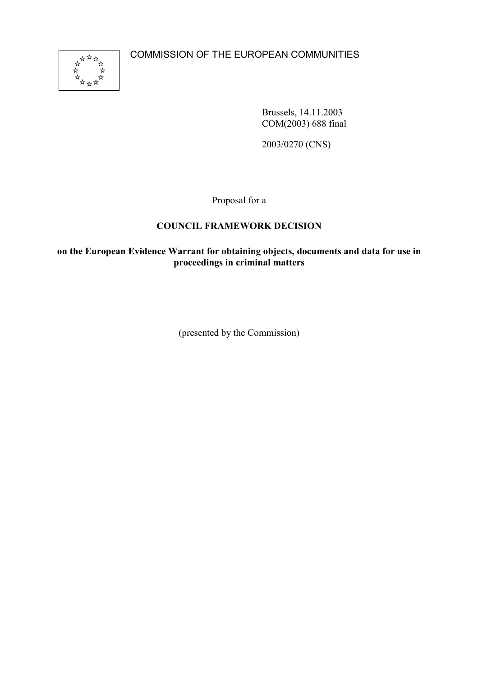COMMISSION OF THE EUROPEAN COMMUNITIES



Brussels, 14.11.2003 COM(2003) 688 final

2003/0270 (CNS)

Proposal for a

## **COUNCIL FRAMEWORK DECISION**

**on the European Evidence Warrant for obtaining objects, documents and data for use in proceedings in criminal matters**

(presented by the Commission)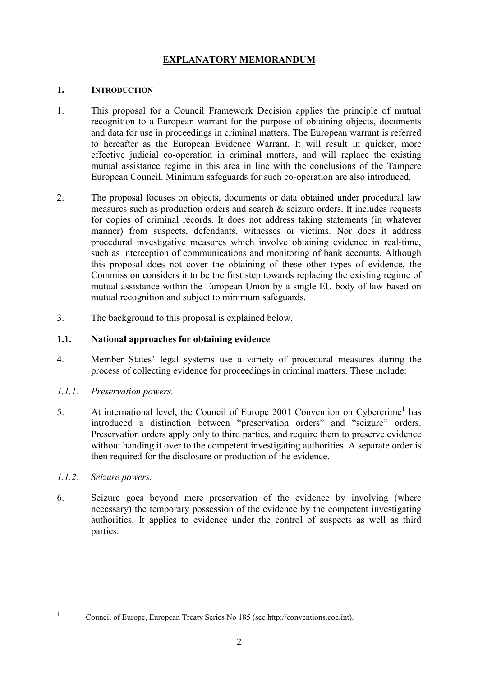## **EXPLANATORY MEMORANDUM**

## **1. INTRODUCTION**

- 1. This proposal for a Council Framework Decision applies the principle of mutual recognition to a European warrant for the purpose of obtaining objects, documents and data for use in proceedings in criminal matters. The European warrant is referred to hereafter as the European Evidence Warrant. It will result in quicker, more effective judicial co-operation in criminal matters, and will replace the existing mutual assistance regime in this area in line with the conclusions of the Tampere European Council. Minimum safeguards for such co-operation are also introduced.
- 2. The proposal focuses on objects, documents or data obtained under procedural law measures such as production orders and search & seizure orders. It includes requests for copies of criminal records. It does not address taking statements (in whatever manner) from suspects, defendants, witnesses or victims. Nor does it address procedural investigative measures which involve obtaining evidence in real-time, such as interception of communications and monitoring of bank accounts. Although this proposal does not cover the obtaining of these other types of evidence, the Commission considers it to be the first step towards replacing the existing regime of mutual assistance within the European Union by a single EU body of law based on mutual recognition and subject to minimum safeguards.
- 3. The background to this proposal is explained below.

## **1.1. National approaches for obtaining evidence**

- 4. Member States' legal systems use a variety of procedural measures during the process of collecting evidence for proceedings in criminal matters. These include:
- *1.1.1. Preservation powers.*
- 5. At international level, the Council of Europe 2001 Convention on Cybercrime<sup>1</sup> has introduced a distinction between "preservation orders" and "seizure" orders. Preservation orders apply only to third parties, and require them to preserve evidence without handing it over to the competent investigating authorities. A separate order is then required for the disclosure or production of the evidence.

## *1.1.2. Seizure powers.*

6. Seizure goes beyond mere preservation of the evidence by involving (where necessary) the temporary possession of the evidence by the competent investigating authorities. It applies to evidence under the control of suspects as well as third parties.

 $\overline{a}$ 

<sup>&</sup>lt;sup>1</sup> Council of Europe, European Treaty Series No 185 (see http://conventions.coe.int).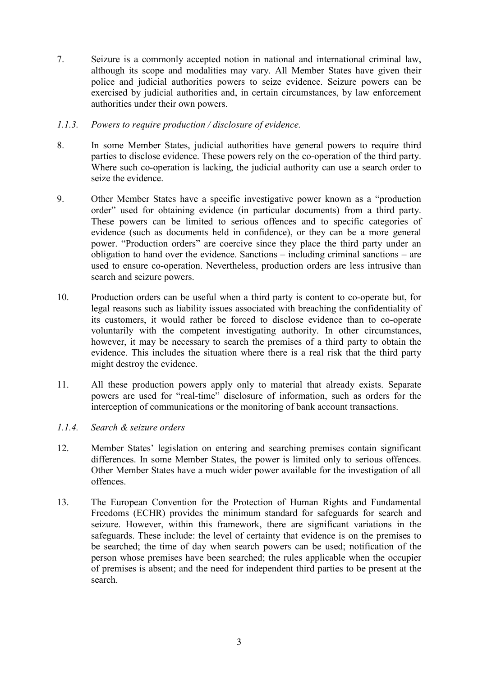7. Seizure is a commonly accepted notion in national and international criminal law, although its scope and modalities may vary. All Member States have given their police and judicial authorities powers to seize evidence. Seizure powers can be exercised by judicial authorities and, in certain circumstances, by law enforcement authorities under their own powers.

## *1.1.3. Powers to require production / disclosure of evidence.*

- 8. In some Member States, judicial authorities have general powers to require third parties to disclose evidence. These powers rely on the co-operation of the third party. Where such co-operation is lacking, the judicial authority can use a search order to seize the evidence.
- 9. Other Member States have a specific investigative power known as a "production order" used for obtaining evidence (in particular documents) from a third party. These powers can be limited to serious offences and to specific categories of evidence (such as documents held in confidence), or they can be a more general power. "Production orders" are coercive since they place the third party under an obligation to hand over the evidence. Sanctions – including criminal sanctions – are used to ensure co-operation. Nevertheless, production orders are less intrusive than search and seizure powers.
- 10. Production orders can be useful when a third party is content to co-operate but, for legal reasons such as liability issues associated with breaching the confidentiality of its customers, it would rather be forced to disclose evidence than to co-operate voluntarily with the competent investigating authority. In other circumstances, however, it may be necessary to search the premises of a third party to obtain the evidence. This includes the situation where there is a real risk that the third party might destroy the evidence.
- 11. All these production powers apply only to material that already exists. Separate powers are used for "real-time" disclosure of information, such as orders for the interception of communications or the monitoring of bank account transactions.
- *1.1.4. Search & seizure orders*
- 12. Member States' legislation on entering and searching premises contain significant differences. In some Member States, the power is limited only to serious offences. Other Member States have a much wider power available for the investigation of all offences.
- 13. The European Convention for the Protection of Human Rights and Fundamental Freedoms (ECHR) provides the minimum standard for safeguards for search and seizure. However, within this framework, there are significant variations in the safeguards. These include: the level of certainty that evidence is on the premises to be searched; the time of day when search powers can be used; notification of the person whose premises have been searched; the rules applicable when the occupier of premises is absent; and the need for independent third parties to be present at the search.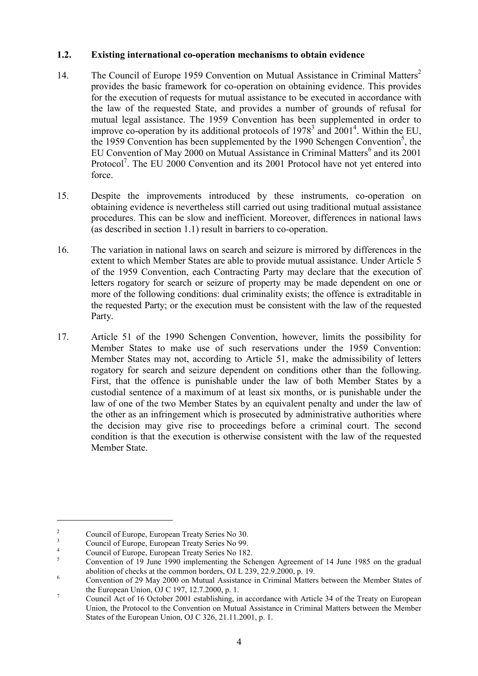## **1.2. Existing international co-operation mechanisms to obtain evidence**

- 14. The Council of Europe 1959 Convention on Mutual Assistance in Criminal Matters<sup>2</sup> provides the basic framework for co-operation on obtaining evidence. This provides for the execution of requests for mutual assistance to be executed in accordance with the law of the requested State, and provides a number of grounds of refusal for mutual legal assistance. The 1959 Convention has been supplemented in order to improve co-operation by its additional protocols of  $1978<sup>3</sup>$  and  $2001<sup>4</sup>$ . Within the EU, the 1959 Convention has been supplemented by the 1990 Schengen Convention<sup>5</sup>, the EU Convention of May 2000 on Mutual Assistance in Criminal Matters $<sup>6</sup>$  and its 2001</sup> Protocol<sup>7</sup>. The EU 2000 Convention and its 2001 Protocol have not yet entered into force.
- 15. Despite the improvements introduced by these instruments, co-operation on obtaining evidence is nevertheless still carried out using traditional mutual assistance procedures. This can be slow and inefficient. Moreover, differences in national laws (as described in section 1.1) result in barriers to co-operation.
- 16. The variation in national laws on search and seizure is mirrored by differences in the extent to which Member States are able to provide mutual assistance. Under Article 5 of the 1959 Convention, each Contracting Party may declare that the execution of letters rogatory for search or seizure of property may be made dependent on one or more of the following conditions: dual criminality exists; the offence is extraditable in the requested Party; or the execution must be consistent with the law of the requested Party.
- 17. Article 51 of the 1990 Schengen Convention, however, limits the possibility for Member States to make use of such reservations under the 1959 Convention: Member States may not, according to Article 51, make the admissibility of letters rogatory for search and seizure dependent on conditions other than the following. First, that the offence is punishable under the law of both Member States by a custodial sentence of a maximum of at least six months, or is punishable under the law of one of the two Member States by an equivalent penalty and under the law of the other as an infringement which is prosecuted by administrative authorities where the decision may give rise to proceedings before a criminal court. The second condition is that the execution is otherwise consistent with the law of the requested Member State.

<sup>&</sup>lt;sup>2</sup><br>Council of Europe, European Treaty Series No 30.<br>Council of Europe, European Treaty Series No 99.<br>Council of Europe, European Treaty Series No 182.<br>Convention of 19 June 1990 implementing the Schengen Agreement of 14 J

<sup>&</sup>lt;sup>6</sup><br>Convention of 29 May 2000 on Mutual Assistance in Criminal Matters between the Member States of the European Union, OJ C 197, 12.7.2000, p. 1.

 $t^7$  Council Act of 16 October 2001 establishing, in accordance with Article 34 of the Treaty on European Union, the Protocol to the Convention on Mutual Assistance in Criminal Matters between the Member States of the European Union, OJ C 326, 21.11.2001, p. 1.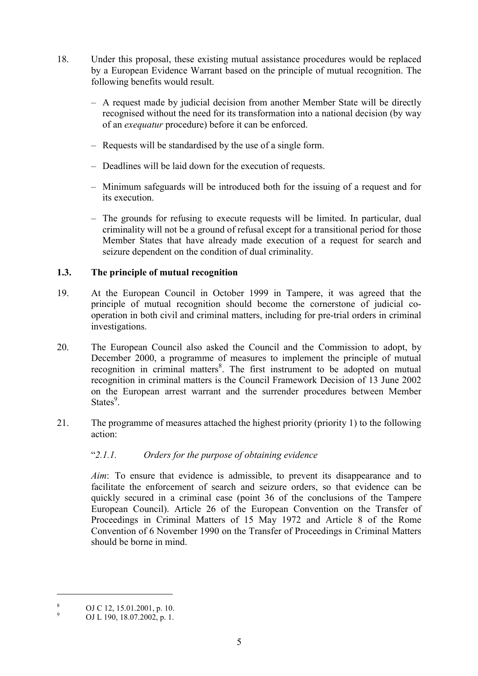- 18. Under this proposal, these existing mutual assistance procedures would be replaced by a European Evidence Warrant based on the principle of mutual recognition. The following benefits would result.
	- A request made by judicial decision from another Member State will be directly recognised without the need for its transformation into a national decision (by way of an *exequatur* procedure) before it can be enforced.
	- Requests will be standardised by the use of a single form.
	- Deadlines will be laid down for the execution of requests.
	- Minimum safeguards will be introduced both for the issuing of a request and for its execution.
	- The grounds for refusing to execute requests will be limited. In particular, dual criminality will not be a ground of refusal except for a transitional period for those Member States that have already made execution of a request for search and seizure dependent on the condition of dual criminality.

## **1.3. The principle of mutual recognition**

- 19. At the European Council in October 1999 in Tampere, it was agreed that the principle of mutual recognition should become the cornerstone of judicial cooperation in both civil and criminal matters, including for pre-trial orders in criminal investigations.
- 20. The European Council also asked the Council and the Commission to adopt, by December 2000, a programme of measures to implement the principle of mutual recognition in criminal matters<sup>8</sup>. The first instrument to be adopted on mutual recognition in criminal matters is the Council Framework Decision of 13 June 2002 on the European arrest warrant and the surrender procedures between Member States<sup>9</sup>.
- 21. The programme of measures attached the highest priority (priority 1) to the following action:

## "*2.1.1. Orders for the purpose of obtaining evidence*

*Aim*: To ensure that evidence is admissible, to prevent its disappearance and to facilitate the enforcement of search and seizure orders, so that evidence can be quickly secured in a criminal case (point 36 of the conclusions of the Tampere European Council). Article 26 of the European Convention on the Transfer of Proceedings in Criminal Matters of 15 May 1972 and Article 8 of the Rome Convention of 6 November 1990 on the Transfer of Proceedings in Criminal Matters should be borne in mind.

 $\overset{8}{\phantom{0}}$  OJ C 12, 15.01.2001, p. 10.<br>OJ L 190, 18.07.2002, p. 1.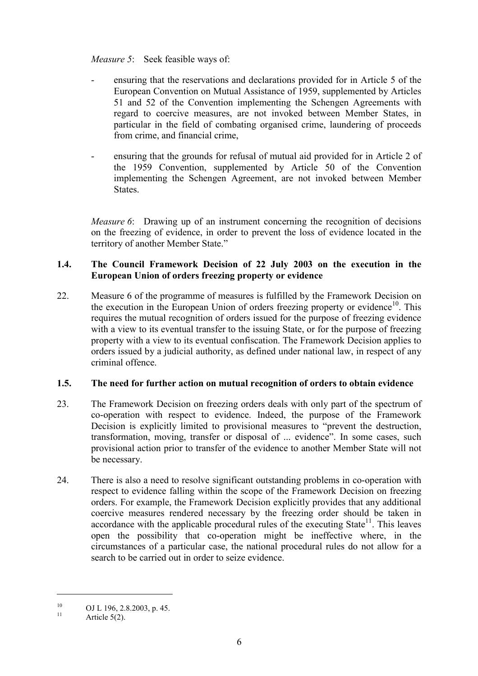*Measure 5*: Seek feasible ways of:

- ensuring that the reservations and declarations provided for in Article 5 of the European Convention on Mutual Assistance of 1959, supplemented by Articles 51 and 52 of the Convention implementing the Schengen Agreements with regard to coercive measures, are not invoked between Member States, in particular in the field of combating organised crime, laundering of proceeds from crime, and financial crime,
- ensuring that the grounds for refusal of mutual aid provided for in Article 2 of the 1959 Convention, supplemented by Article 50 of the Convention implementing the Schengen Agreement, are not invoked between Member States.

*Measure 6*: Drawing up of an instrument concerning the recognition of decisions on the freezing of evidence, in order to prevent the loss of evidence located in the territory of another Member State."

## **1.4. The Council Framework Decision of 22 July 2003 on the execution in the European Union of orders freezing property or evidence**

22. Measure 6 of the programme of measures is fulfilled by the Framework Decision on the execution in the European Union of orders freezing property or evidence<sup>10</sup>. This requires the mutual recognition of orders issued for the purpose of freezing evidence with a view to its eventual transfer to the issuing State, or for the purpose of freezing property with a view to its eventual confiscation. The Framework Decision applies to orders issued by a judicial authority, as defined under national law, in respect of any criminal offence.

## **1.5. The need for further action on mutual recognition of orders to obtain evidence**

- 23. The Framework Decision on freezing orders deals with only part of the spectrum of co-operation with respect to evidence. Indeed, the purpose of the Framework Decision is explicitly limited to provisional measures to "prevent the destruction, transformation, moving, transfer or disposal of ... evidence". In some cases, such provisional action prior to transfer of the evidence to another Member State will not be necessary.
- 24. There is also a need to resolve significant outstanding problems in co-operation with respect to evidence falling within the scope of the Framework Decision on freezing orders. For example, the Framework Decision explicitly provides that any additional coercive measures rendered necessary by the freezing order should be taken in accordance with the applicable procedural rules of the executing  $State<sup>11</sup>$ . This leaves open the possibility that co-operation might be ineffective where, in the circumstances of a particular case, the national procedural rules do not allow for a search to be carried out in order to seize evidence.

<sup>&</sup>lt;sup>10</sup> OJ L 196, 2.8.2003, p. 45.

Article  $5(2)$ .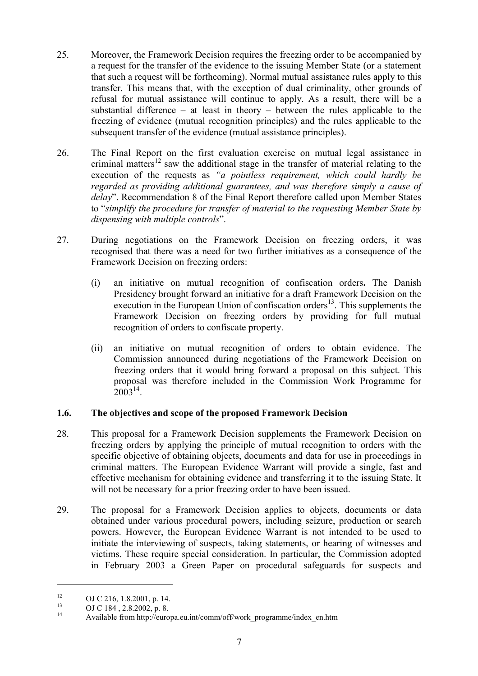- 25. Moreover, the Framework Decision requires the freezing order to be accompanied by a request for the transfer of the evidence to the issuing Member State (or a statement that such a request will be forthcoming). Normal mutual assistance rules apply to this transfer. This means that, with the exception of dual criminality, other grounds of refusal for mutual assistance will continue to apply. As a result, there will be a substantial difference – at least in theory – between the rules applicable to the freezing of evidence (mutual recognition principles) and the rules applicable to the subsequent transfer of the evidence (mutual assistance principles).
- 26. The Final Report on the first evaluation exercise on mutual legal assistance in criminal matters<sup>12</sup> saw the additional stage in the transfer of material relating to the execution of the requests as *"a pointless requirement, which could hardly be regarded as providing additional guarantees, and was therefore simply a cause of delay*". Recommendation 8 of the Final Report therefore called upon Member States to "*simplify the procedure for transfer of material to the requesting Member State by dispensing with multiple controls*".
- 27. During negotiations on the Framework Decision on freezing orders, it was recognised that there was a need for two further initiatives as a consequence of the Framework Decision on freezing orders:
	- (i) an initiative on mutual recognition of confiscation orders**.** The Danish Presidency brought forward an initiative for a draft Framework Decision on the execution in the European Union of confiscation orders<sup>13</sup>. This supplements the Framework Decision on freezing orders by providing for full mutual recognition of orders to confiscate property.
	- (ii) an initiative on mutual recognition of orders to obtain evidence. The Commission announced during negotiations of the Framework Decision on freezing orders that it would bring forward a proposal on this subject. This proposal was therefore included in the Commission Work Programme for  $2003^{14}$ .

## **1.6. The objectives and scope of the proposed Framework Decision**

- 28. This proposal for a Framework Decision supplements the Framework Decision on freezing orders by applying the principle of mutual recognition to orders with the specific objective of obtaining objects, documents and data for use in proceedings in criminal matters. The European Evidence Warrant will provide a single, fast and effective mechanism for obtaining evidence and transferring it to the issuing State. It will not be necessary for a prior freezing order to have been issued.
- 29. The proposal for a Framework Decision applies to objects, documents or data obtained under various procedural powers, including seizure, production or search powers. However, the European Evidence Warrant is not intended to be used to initiate the interviewing of suspects, taking statements, or hearing of witnesses and victims. These require special consideration. In particular, the Commission adopted in February 2003 a Green Paper on procedural safeguards for suspects and

<sup>12</sup> OJ C 216, 1.8.2001, p. 14.<br>
13 OJ C 184, 2.8.2002, p. 8.<br>
Available from http://europa.eu.int/comm/off/work\_programme/index\_en.htm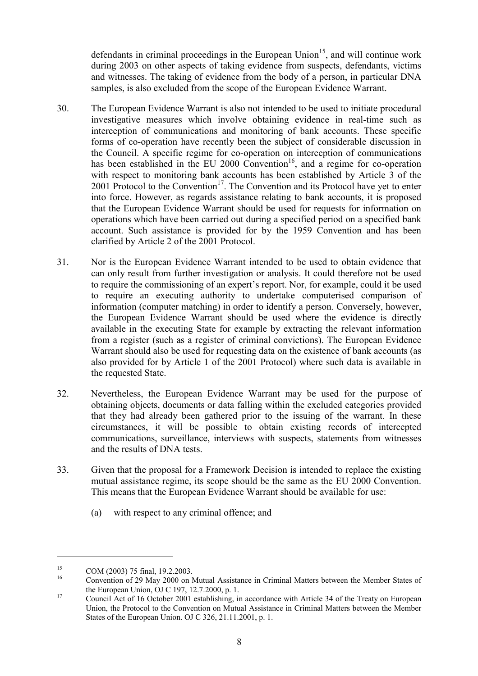defendants in criminal proceedings in the European Union<sup>15</sup>, and will continue work during 2003 on other aspects of taking evidence from suspects, defendants, victims and witnesses. The taking of evidence from the body of a person, in particular DNA samples, is also excluded from the scope of the European Evidence Warrant.

- 30. The European Evidence Warrant is also not intended to be used to initiate procedural investigative measures which involve obtaining evidence in real-time such as interception of communications and monitoring of bank accounts. These specific forms of co-operation have recently been the subject of considerable discussion in the Council. A specific regime for co-operation on interception of communications has been established in the EU 2000 Convention<sup>16</sup>, and a regime for co-operation with respect to monitoring bank accounts has been established by Article 3 of the  $2001$  Protocol to the Convention<sup>17</sup>. The Convention and its Protocol have yet to enter into force. However, as regards assistance relating to bank accounts, it is proposed that the European Evidence Warrant should be used for requests for information on operations which have been carried out during a specified period on a specified bank account. Such assistance is provided for by the 1959 Convention and has been clarified by Article 2 of the 2001 Protocol.
- 31. Nor is the European Evidence Warrant intended to be used to obtain evidence that can only result from further investigation or analysis. It could therefore not be used to require the commissioning of an expert's report. Nor, for example, could it be used to require an executing authority to undertake computerised comparison of information (computer matching) in order to identify a person. Conversely, however, the European Evidence Warrant should be used where the evidence is directly available in the executing State for example by extracting the relevant information from a register (such as a register of criminal convictions). The European Evidence Warrant should also be used for requesting data on the existence of bank accounts (as also provided for by Article 1 of the 2001 Protocol) where such data is available in the requested State.
- 32. Nevertheless, the European Evidence Warrant may be used for the purpose of obtaining objects, documents or data falling within the excluded categories provided that they had already been gathered prior to the issuing of the warrant. In these circumstances, it will be possible to obtain existing records of intercepted communications, surveillance, interviews with suspects, statements from witnesses and the results of DNA tests.
- 33. Given that the proposal for a Framework Decision is intended to replace the existing mutual assistance regime, its scope should be the same as the EU 2000 Convention. This means that the European Evidence Warrant should be available for use:
	- (a) with respect to any criminal offence; and

<sup>&</sup>lt;sup>15</sup> COM (2003) 75 final, 19.2.2003.<br>
<sup>16</sup> Convention of 29 May 2000 on Mutual Assistance in Criminal Matters between the Member States of the European Union, OJ C 197, 12.7.2000, p. 1.

 $t_0$  Council Act of 16 October 2001 establishing, in accordance with Article 34 of the Treaty on European Union, the Protocol to the Convention on Mutual Assistance in Criminal Matters between the Member States of the European Union. OJ C 326, 21.11.2001, p. 1.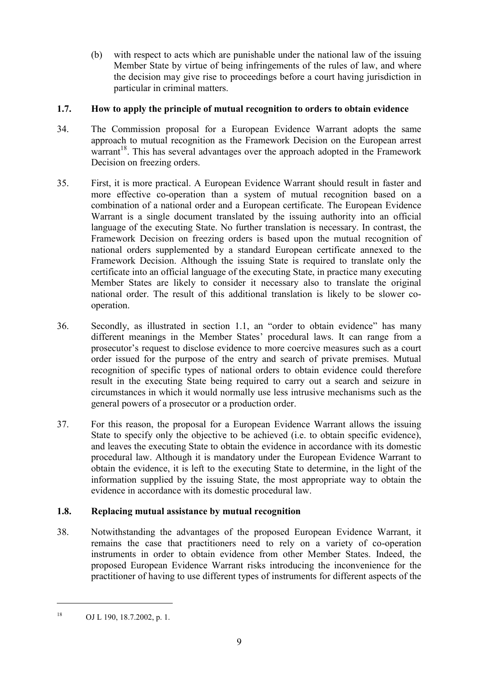(b) with respect to acts which are punishable under the national law of the issuing Member State by virtue of being infringements of the rules of law, and where the decision may give rise to proceedings before a court having jurisdiction in particular in criminal matters.

## **1.7. How to apply the principle of mutual recognition to orders to obtain evidence**

- 34. The Commission proposal for a European Evidence Warrant adopts the same approach to mutual recognition as the Framework Decision on the European arrest warrant<sup>18</sup>. This has several advantages over the approach adopted in the Framework Decision on freezing orders.
- 35. First, it is more practical. A European Evidence Warrant should result in faster and more effective co-operation than a system of mutual recognition based on a combination of a national order and a European certificate. The European Evidence Warrant is a single document translated by the issuing authority into an official language of the executing State. No further translation is necessary. In contrast, the Framework Decision on freezing orders is based upon the mutual recognition of national orders supplemented by a standard European certificate annexed to the Framework Decision. Although the issuing State is required to translate only the certificate into an official language of the executing State, in practice many executing Member States are likely to consider it necessary also to translate the original national order. The result of this additional translation is likely to be slower cooperation.
- 36. Secondly, as illustrated in section 1.1, an "order to obtain evidence" has many different meanings in the Member States' procedural laws. It can range from a prosecutor's request to disclose evidence to more coercive measures such as a court order issued for the purpose of the entry and search of private premises. Mutual recognition of specific types of national orders to obtain evidence could therefore result in the executing State being required to carry out a search and seizure in circumstances in which it would normally use less intrusive mechanisms such as the general powers of a prosecutor or a production order.
- 37. For this reason, the proposal for a European Evidence Warrant allows the issuing State to specify only the objective to be achieved (i.e. to obtain specific evidence), and leaves the executing State to obtain the evidence in accordance with its domestic procedural law. Although it is mandatory under the European Evidence Warrant to obtain the evidence, it is left to the executing State to determine, in the light of the information supplied by the issuing State, the most appropriate way to obtain the evidence in accordance with its domestic procedural law.

## **1.8. Replacing mutual assistance by mutual recognition**

38. Notwithstanding the advantages of the proposed European Evidence Warrant, it remains the case that practitioners need to rely on a variety of co-operation instruments in order to obtain evidence from other Member States. Indeed, the proposed European Evidence Warrant risks introducing the inconvenience for the practitioner of having to use different types of instruments for different aspects of the

<sup>18</sup> OJ L 190, 18.7.2002, p. 1.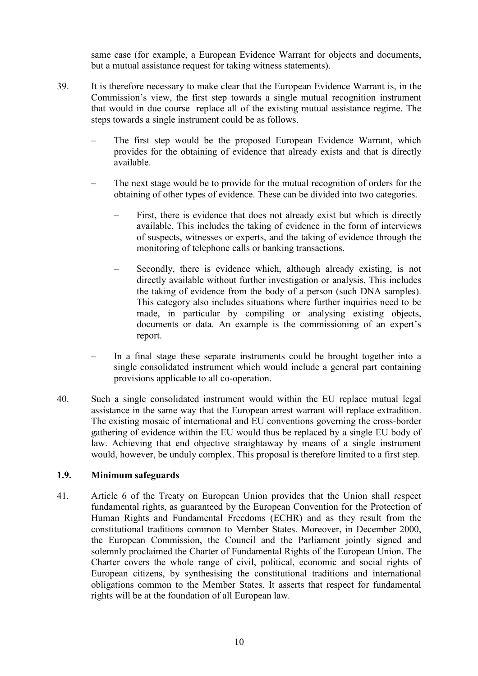same case (for example, a European Evidence Warrant for objects and documents, but a mutual assistance request for taking witness statements).

- 39. It is therefore necessary to make clear that the European Evidence Warrant is, in the Commission's view, the first step towards a single mutual recognition instrument that would in due course replace all of the existing mutual assistance regime. The steps towards a single instrument could be as follows.
	- The first step would be the proposed European Evidence Warrant, which provides for the obtaining of evidence that already exists and that is directly available.
	- The next stage would be to provide for the mutual recognition of orders for the obtaining of other types of evidence. These can be divided into two categories.
		- First, there is evidence that does not already exist but which is directly available. This includes the taking of evidence in the form of interviews of suspects, witnesses or experts, and the taking of evidence through the monitoring of telephone calls or banking transactions.
		- Secondly, there is evidence which, although already existing, is not directly available without further investigation or analysis. This includes the taking of evidence from the body of a person (such DNA samples). This category also includes situations where further inquiries need to be made, in particular by compiling or analysing existing objects, documents or data. An example is the commissioning of an expert's report.
	- In a final stage these separate instruments could be brought together into a single consolidated instrument which would include a general part containing provisions applicable to all co-operation.
- 40. Such a single consolidated instrument would within the EU replace mutual legal assistance in the same way that the European arrest warrant will replace extradition. The existing mosaic of international and EU conventions governing the cross-border gathering of evidence within the EU would thus be replaced by a single EU body of law. Achieving that end objective straightaway by means of a single instrument would, however, be unduly complex. This proposal is therefore limited to a first step.

## **1.9. Minimum safeguards**

41. Article 6 of the Treaty on European Union provides that the Union shall respect fundamental rights, as guaranteed by the European Convention for the Protection of Human Rights and Fundamental Freedoms (ECHR) and as they result from the constitutional traditions common to Member States. Moreover, in December 2000, the European Commission, the Council and the Parliament jointly signed and solemnly proclaimed the Charter of Fundamental Rights of the European Union. The Charter covers the whole range of civil, political, economic and social rights of European citizens, by synthesising the constitutional traditions and international obligations common to the Member States. It asserts that respect for fundamental rights will be at the foundation of all European law.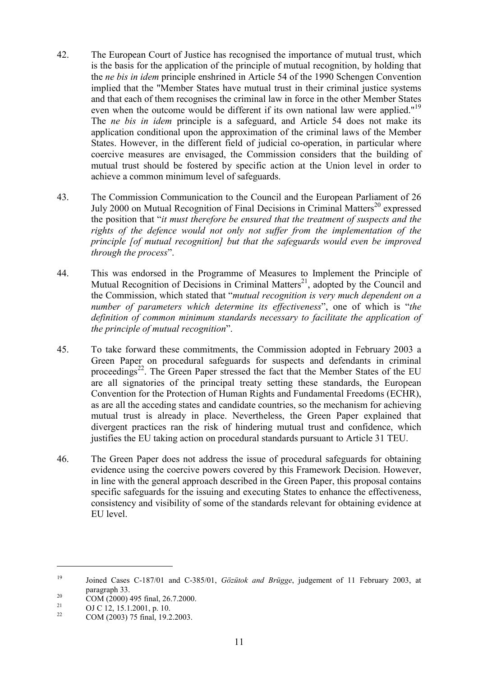- 42. The European Court of Justice has recognised the importance of mutual trust, which is the basis for the application of the principle of mutual recognition, by holding that the *ne bis in idem* principle enshrined in Article 54 of the 1990 Schengen Convention implied that the "Member States have mutual trust in their criminal justice systems and that each of them recognises the criminal law in force in the other Member States even when the outcome would be different if its own national law were applied."<sup>19</sup> The *ne bis in idem* principle is a safeguard, and Article 54 does not make its application conditional upon the approximation of the criminal laws of the Member States. However, in the different field of judicial co-operation, in particular where coercive measures are envisaged, the Commission considers that the building of mutual trust should be fostered by specific action at the Union level in order to achieve a common minimum level of safeguards.
- 43. The Commission Communication to the Council and the European Parliament of 26 July 2000 on Mutual Recognition of Final Decisions in Criminal Matters<sup>20</sup> expressed the position that "*it must therefore be ensured that the treatment of suspects and the rights of the defence would not only not suffer from the implementation of the principle [of mutual recognition] but that the safeguards would even be improved through the process*".
- 44. This was endorsed in the Programme of Measures to Implement the Principle of Mutual Recognition of Decisions in Criminal Matters<sup>21</sup>, adopted by the Council and the Commission, which stated that "*mutual recognition is very much dependent on a number of parameters which determine its effectiveness*", one of which is "*the definition of common minimum standards necessary to facilitate the application of the principle of mutual recognition*".
- 45. To take forward these commitments, the Commission adopted in February 2003 a Green Paper on procedural safeguards for suspects and defendants in criminal proceedings<sup>22</sup>. The Green Paper stressed the fact that the Member States of the EU are all signatories of the principal treaty setting these standards, the European Convention for the Protection of Human Rights and Fundamental Freedoms (ECHR), as are all the acceding states and candidate countries, so the mechanism for achieving mutual trust is already in place. Nevertheless, the Green Paper explained that divergent practices ran the risk of hindering mutual trust and confidence, which justifies the EU taking action on procedural standards pursuant to Article 31 TEU.
- 46. The Green Paper does not address the issue of procedural safeguards for obtaining evidence using the coercive powers covered by this Framework Decision. However, in line with the general approach described in the Green Paper, this proposal contains specific safeguards for the issuing and executing States to enhance the effectiveness, consistency and visibility of some of the standards relevant for obtaining evidence at EU level.

<sup>19</sup> Joined Cases C-187/01 and C-385/01, *Gözütok and Brügge*, judgement of 11 February 2003, at

paragraph 33.<br>
COM (2000) 495 final, 26.7.2000.<br>
OJ C 12, 15.1.2001, p. 10.<br>
COM (2003) 75 final, 19.2.2003.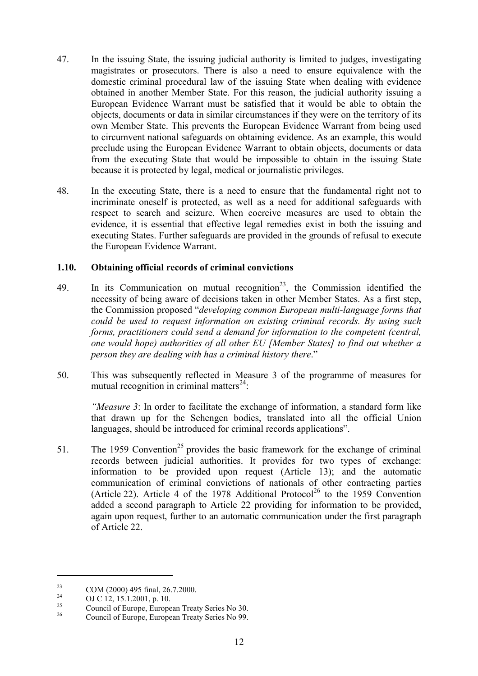- 47. In the issuing State, the issuing judicial authority is limited to judges, investigating magistrates or prosecutors. There is also a need to ensure equivalence with the domestic criminal procedural law of the issuing State when dealing with evidence obtained in another Member State. For this reason, the judicial authority issuing a European Evidence Warrant must be satisfied that it would be able to obtain the objects, documents or data in similar circumstances if they were on the territory of its own Member State. This prevents the European Evidence Warrant from being used to circumvent national safeguards on obtaining evidence. As an example, this would preclude using the European Evidence Warrant to obtain objects, documents or data from the executing State that would be impossible to obtain in the issuing State because it is protected by legal, medical or journalistic privileges.
- 48. In the executing State, there is a need to ensure that the fundamental right not to incriminate oneself is protected, as well as a need for additional safeguards with respect to search and seizure. When coercive measures are used to obtain the evidence, it is essential that effective legal remedies exist in both the issuing and executing States. Further safeguards are provided in the grounds of refusal to execute the European Evidence Warrant.

## **1.10. Obtaining official records of criminal convictions**

- 49. In its Communication on mutual recognition<sup>23</sup>, the Commission identified the necessity of being aware of decisions taken in other Member States. As a first step, the Commission proposed "*developing common European multi-language forms that could be used to request information on existing criminal records. By using such forms, practitioners could send a demand for information to the competent (central, one would hope) authorities of all other EU [Member States] to find out whether a person they are dealing with has a criminal history there*."
- 50. This was subsequently reflected in Measure 3 of the programme of measures for mutual recognition in criminal matters<sup>24</sup>:

*"Measure 3*: In order to facilitate the exchange of information, a standard form like that drawn up for the Schengen bodies, translated into all the official Union languages, should be introduced for criminal records applications".

51. The 1959 Convention<sup>25</sup> provides the basic framework for the exchange of criminal records between judicial authorities. It provides for two types of exchange: information to be provided upon request (Article 13); and the automatic communication of criminal convictions of nationals of other contracting parties (Article 22). Article 4 of the 1978 Additional Protocol<sup>26</sup> to the 1959 Convention added a second paragraph to Article 22 providing for information to be provided, again upon request, further to an automatic communication under the first paragraph of Article 22.

<sup>&</sup>lt;sup>23</sup> COM (2000) 495 final, 26.7.2000.<br>
<sup>24</sup> OJ C 12, 15.1.2001, p. 10.<br>
<sup>25</sup> Council of Europe, European Treaty Series No 30.<br>
Council of Europe, European Treaty Series No 99.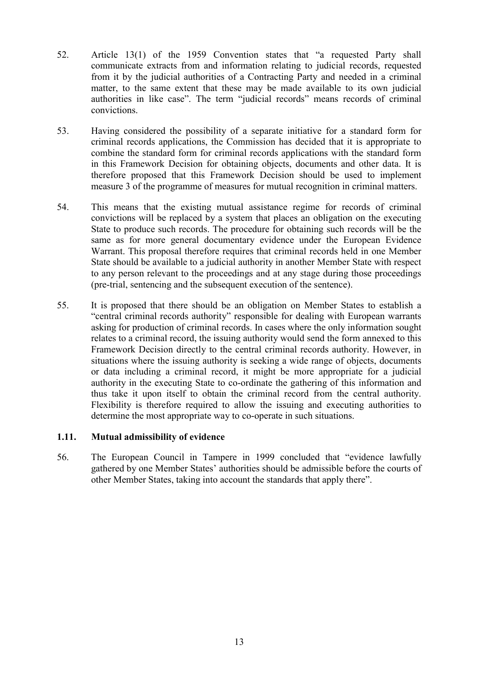- 52. Article 13(1) of the 1959 Convention states that "a requested Party shall communicate extracts from and information relating to judicial records, requested from it by the judicial authorities of a Contracting Party and needed in a criminal matter, to the same extent that these may be made available to its own judicial authorities in like case". The term "judicial records" means records of criminal convictions.
- 53. Having considered the possibility of a separate initiative for a standard form for criminal records applications, the Commission has decided that it is appropriate to combine the standard form for criminal records applications with the standard form in this Framework Decision for obtaining objects, documents and other data. It is therefore proposed that this Framework Decision should be used to implement measure 3 of the programme of measures for mutual recognition in criminal matters.
- 54. This means that the existing mutual assistance regime for records of criminal convictions will be replaced by a system that places an obligation on the executing State to produce such records. The procedure for obtaining such records will be the same as for more general documentary evidence under the European Evidence Warrant. This proposal therefore requires that criminal records held in one Member State should be available to a judicial authority in another Member State with respect to any person relevant to the proceedings and at any stage during those proceedings (pre-trial, sentencing and the subsequent execution of the sentence).
- 55. It is proposed that there should be an obligation on Member States to establish a "central criminal records authority" responsible for dealing with European warrants asking for production of criminal records. In cases where the only information sought relates to a criminal record, the issuing authority would send the form annexed to this Framework Decision directly to the central criminal records authority. However, in situations where the issuing authority is seeking a wide range of objects, documents or data including a criminal record, it might be more appropriate for a judicial authority in the executing State to co-ordinate the gathering of this information and thus take it upon itself to obtain the criminal record from the central authority. Flexibility is therefore required to allow the issuing and executing authorities to determine the most appropriate way to co-operate in such situations.

#### **1.11. Mutual admissibility of evidence**

56. The European Council in Tampere in 1999 concluded that "evidence lawfully gathered by one Member States' authorities should be admissible before the courts of other Member States, taking into account the standards that apply there".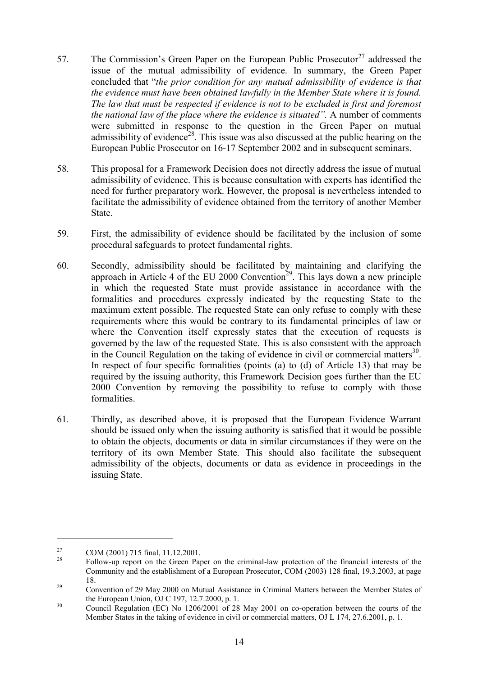- 57. The Commission's Green Paper on the European Public Prosecutor<sup>27</sup> addressed the issue of the mutual admissibility of evidence. In summary, the Green Paper concluded that "*the prior condition for any mutual admissibility of evidence is that the evidence must have been obtained lawfully in the Member State where it is found. The law that must be respected if evidence is not to be excluded is first and foremost the national law of the place where the evidence is situated".* A number of comments were submitted in response to the question in the Green Paper on mutual admissibility of evidence<sup>28</sup>. This issue was also discussed at the public hearing on the European Public Prosecutor on 16-17 September 2002 and in subsequent seminars.
- 58. This proposal for a Framework Decision does not directly address the issue of mutual admissibility of evidence. This is because consultation with experts has identified the need for further preparatory work. However, the proposal is nevertheless intended to facilitate the admissibility of evidence obtained from the territory of another Member **State**
- 59. First, the admissibility of evidence should be facilitated by the inclusion of some procedural safeguards to protect fundamental rights.
- 60. Secondly, admissibility should be facilitated by maintaining and clarifying the approach in Article 4 of the EU 2000 Convention<sup>29</sup>. This lays down a new principle in which the requested State must provide assistance in accordance with the formalities and procedures expressly indicated by the requesting State to the maximum extent possible. The requested State can only refuse to comply with these requirements where this would be contrary to its fundamental principles of law or where the Convention itself expressly states that the execution of requests is governed by the law of the requested State. This is also consistent with the approach in the Council Regulation on the taking of evidence in civil or commercial matters $30$ . In respect of four specific formalities (points (a) to (d) of Article 13) that may be required by the issuing authority, this Framework Decision goes further than the EU 2000 Convention by removing the possibility to refuse to comply with those formalities.
- 61. Thirdly, as described above, it is proposed that the European Evidence Warrant should be issued only when the issuing authority is satisfied that it would be possible to obtain the objects, documents or data in similar circumstances if they were on the territory of its own Member State. This should also facilitate the subsequent admissibility of the objects, documents or data as evidence in proceedings in the issuing State.

 $27 \text{ COM } (2001)$  715 final, 11.12.2001.<br><sup>28</sup> Follow-up report on the Green Paper on the criminal-law protection of the financial interests of the Community and the establishment of a European Prosecutor, COM (2003) 128 final, 19.3.2003, at page 18. <sup>29</sup> Convention of 29 May 2000 on Mutual Assistance in Criminal Matters between the Member States of

the European Union, OJ C 197, 12.7.2000, p. 1.<br><sup>30</sup> Council Regulation (EC) No 1206/2001 of 28 May 2001 on co-operation between the courts of the

Member States in the taking of evidence in civil or commercial matters, OJ L 174, 27.6.2001, p. 1.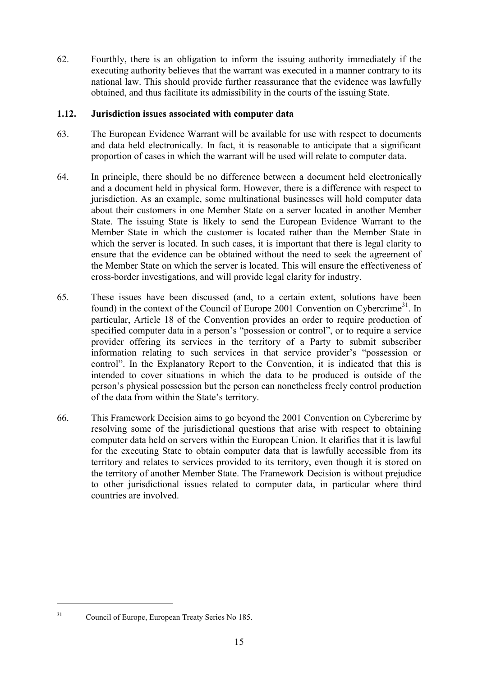62. Fourthly, there is an obligation to inform the issuing authority immediately if the executing authority believes that the warrant was executed in a manner contrary to its national law. This should provide further reassurance that the evidence was lawfully obtained, and thus facilitate its admissibility in the courts of the issuing State.

## **1.12. Jurisdiction issues associated with computer data**

- 63. The European Evidence Warrant will be available for use with respect to documents and data held electronically. In fact, it is reasonable to anticipate that a significant proportion of cases in which the warrant will be used will relate to computer data.
- 64. In principle, there should be no difference between a document held electronically and a document held in physical form. However, there is a difference with respect to jurisdiction. As an example, some multinational businesses will hold computer data about their customers in one Member State on a server located in another Member State. The issuing State is likely to send the European Evidence Warrant to the Member State in which the customer is located rather than the Member State in which the server is located. In such cases, it is important that there is legal clarity to ensure that the evidence can be obtained without the need to seek the agreement of the Member State on which the server is located. This will ensure the effectiveness of cross-border investigations, and will provide legal clarity for industry.
- 65. These issues have been discussed (and, to a certain extent, solutions have been found) in the context of the Council of Europe 2001 Convention on Cybercrime<sup>31</sup>. In particular, Article 18 of the Convention provides an order to require production of specified computer data in a person's "possession or control", or to require a service provider offering its services in the territory of a Party to submit subscriber information relating to such services in that service provider's "possession or control". In the Explanatory Report to the Convention, it is indicated that this is intended to cover situations in which the data to be produced is outside of the person's physical possession but the person can nonetheless freely control production of the data from within the State's territory.
- 66. This Framework Decision aims to go beyond the 2001 Convention on Cybercrime by resolving some of the jurisdictional questions that arise with respect to obtaining computer data held on servers within the European Union. It clarifies that it is lawful for the executing State to obtain computer data that is lawfully accessible from its territory and relates to services provided to its territory, even though it is stored on the territory of another Member State. The Framework Decision is without prejudice to other jurisdictional issues related to computer data, in particular where third countries are involved.

 $\overline{a}$ 

<sup>&</sup>lt;sup>31</sup> Council of Europe, European Treaty Series No 185.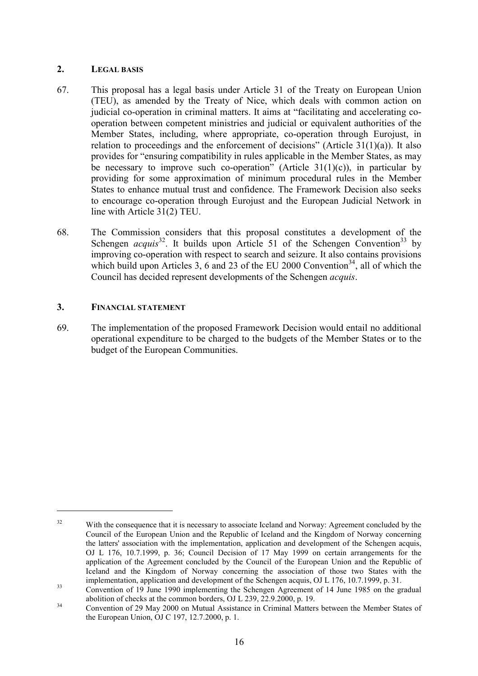## **2. LEGAL BASIS**

- 67. This proposal has a legal basis under Article 31 of the Treaty on European Union (TEU), as amended by the Treaty of Nice, which deals with common action on judicial co-operation in criminal matters. It aims at "facilitating and accelerating cooperation between competent ministries and judicial or equivalent authorities of the Member States, including, where appropriate, co-operation through Eurojust, in relation to proceedings and the enforcement of decisions" (Article 31(1)(a)). It also provides for "ensuring compatibility in rules applicable in the Member States, as may be necessary to improve such co-operation" (Article  $31(1)(c)$ ), in particular by providing for some approximation of minimum procedural rules in the Member States to enhance mutual trust and confidence. The Framework Decision also seeks to encourage co-operation through Eurojust and the European Judicial Network in line with Article 31(2) TEU.
- 68. The Commission considers that this proposal constitutes a development of the Schengen *acquis*<sup>32</sup>. It builds upon Article 51 of the Schengen Convention<sup>33</sup> by improving co-operation with respect to search and seizure. It also contains provisions which build upon Articles 3, 6 and 23 of the EU 2000 Convention<sup>34</sup>, all of which the Council has decided represent developments of the Schengen *acquis*.

#### **3. FINANCIAL STATEMENT**

 $\overline{a}$ 

69. The implementation of the proposed Framework Decision would entail no additional operational expenditure to be charged to the budgets of the Member States or to the budget of the European Communities.

<sup>&</sup>lt;sup>32</sup> With the consequence that it is necessary to associate Iceland and Norway: Agreement concluded by the Council of the European Union and the Republic of Iceland and the Kingdom of Norway concerning the latters' association with the implementation, application and development of the Schengen acquis, OJ L 176, 10.7.1999, p. 36; Council Decision of 17 May 1999 on certain arrangements for the application of the Agreement concluded by the Council of the European Union and the Republic of Iceland and the Kingdom of Norway concerning the association of those two States with the implementation, application and development of the Schengen acquis, OJ L 176, 10.7.1999, p. 31.<br>Convention of 19 June 1990 implementing the Schengen Agreement of 14 June 1985 on the gradual

abolition of checks at the common borders, OJ L 239, 22.9.2000, p. 19.<br>Convention of 29 May 2000 on Mutual Assistance in Criminal Matters between the Member States of

the European Union, OJ C 197, 12.7.2000, p. 1.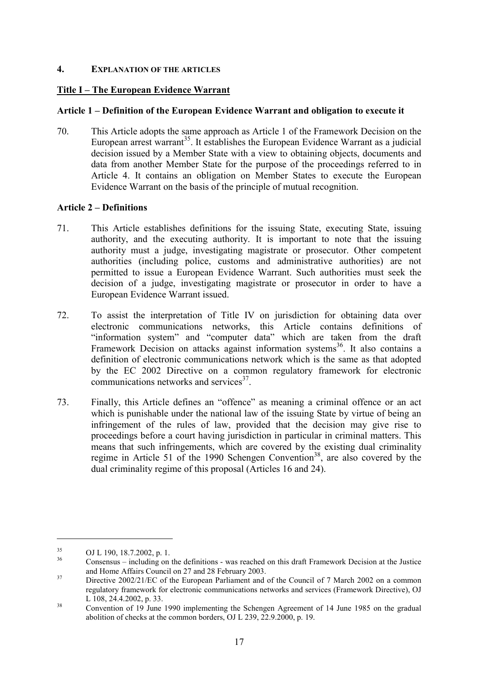## **4. EXPLANATION OF THE ARTICLES**

## **Title I – The European Evidence Warrant**

## **Article 1 – Definition of the European Evidence Warrant and obligation to execute it**

70. This Article adopts the same approach as Article 1 of the Framework Decision on the European arrest warrant<sup>35</sup>. It establishes the European Evidence Warrant as a judicial decision issued by a Member State with a view to obtaining objects, documents and data from another Member State for the purpose of the proceedings referred to in Article 4. It contains an obligation on Member States to execute the European Evidence Warrant on the basis of the principle of mutual recognition.

## **Article 2 – Definitions**

- 71. This Article establishes definitions for the issuing State, executing State, issuing authority, and the executing authority. It is important to note that the issuing authority must a judge, investigating magistrate or prosecutor. Other competent authorities (including police, customs and administrative authorities) are not permitted to issue a European Evidence Warrant. Such authorities must seek the decision of a judge, investigating magistrate or prosecutor in order to have a European Evidence Warrant issued.
- 72. To assist the interpretation of Title IV on jurisdiction for obtaining data over electronic communications networks, this Article contains definitions of "information system" and "computer data" which are taken from the draft Framework Decision on attacks against information systems<sup>36</sup>. It also contains a definition of electronic communications network which is the same as that adopted by the EC 2002 Directive on a common regulatory framework for electronic communications networks and services $37$ .
- 73. Finally, this Article defines an "offence" as meaning a criminal offence or an act which is punishable under the national law of the issuing State by virtue of being an infringement of the rules of law, provided that the decision may give rise to proceedings before a court having jurisdiction in particular in criminal matters. This means that such infringements, which are covered by the existing dual criminality regime in Article 51 of the 1990 Schengen Convention<sup>38</sup>, are also covered by the dual criminality regime of this proposal (Articles 16 and 24).

<sup>&</sup>lt;sup>35</sup> OJ L 190, 18.7.2002, p. 1.<br><sup>36</sup> Consensus – including on the definitions - was reached on this draft Framework Decision at the Justice and Home Affairs Council on 27 and 28 February 2003.<br>Directive 2002/21/EC of the European Parliament and of the Council of 7 March 2002 on a common

regulatory framework for electronic communications networks and services (Framework Directive), OJ

L 108, 24.4.2002, p. 33. <sup>38</sup> Convention of 19 June 1990 implementing the Schengen Agreement of 14 June 1985 on the gradual abolition of checks at the common borders, OJ L 239, 22.9.2000, p. 19.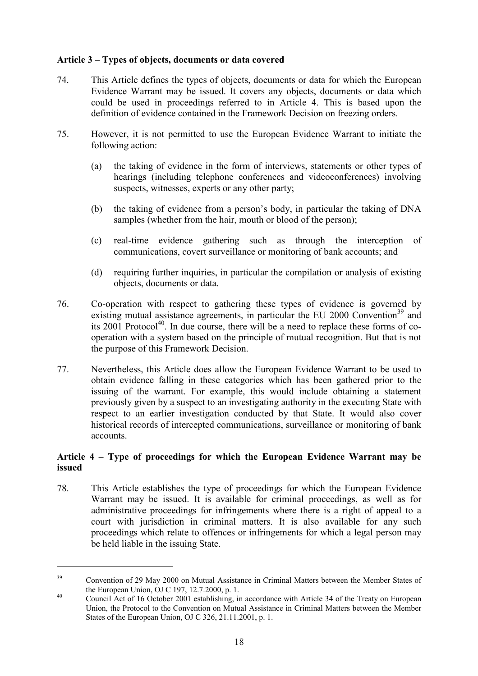## **Article 3 – Types of objects, documents or data covered**

- 74. This Article defines the types of objects, documents or data for which the European Evidence Warrant may be issued. It covers any objects, documents or data which could be used in proceedings referred to in Article 4. This is based upon the definition of evidence contained in the Framework Decision on freezing orders.
- 75. However, it is not permitted to use the European Evidence Warrant to initiate the following action:
	- (a) the taking of evidence in the form of interviews, statements or other types of hearings (including telephone conferences and videoconferences) involving suspects, witnesses, experts or any other party;
	- (b) the taking of evidence from a person's body, in particular the taking of DNA samples (whether from the hair, mouth or blood of the person);
	- (c) real-time evidence gathering such as through the interception of communications, covert surveillance or monitoring of bank accounts; and
	- (d) requiring further inquiries, in particular the compilation or analysis of existing objects, documents or data.
- 76. Co-operation with respect to gathering these types of evidence is governed by existing mutual assistance agreements, in particular the EU 2000 Convention<sup>39</sup> and its 2001 Protocol<sup>40</sup>. In due course, there will be a need to replace these forms of cooperation with a system based on the principle of mutual recognition. But that is not the purpose of this Framework Decision.
- 77. Nevertheless, this Article does allow the European Evidence Warrant to be used to obtain evidence falling in these categories which has been gathered prior to the issuing of the warrant. For example, this would include obtaining a statement previously given by a suspect to an investigating authority in the executing State with respect to an earlier investigation conducted by that State. It would also cover historical records of intercepted communications, surveillance or monitoring of bank accounts.

## **Article 4 – Type of proceedings for which the European Evidence Warrant may be issued**

78. This Article establishes the type of proceedings for which the European Evidence Warrant may be issued. It is available for criminal proceedings, as well as for administrative proceedings for infringements where there is a right of appeal to a court with jurisdiction in criminal matters. It is also available for any such proceedings which relate to offences or infringements for which a legal person may be held liable in the issuing State.

<sup>39</sup> Convention of 29 May 2000 on Mutual Assistance in Criminal Matters between the Member States of the European Union, OJ C 197, 12.7.2000, p. 1.

the European Union, Of C 197, 12.7.2000, p. 1.  $\frac{1}{2}$ .  $\frac{1}{2}$  in accordance with Article 34 of the Treaty on European Union, the Protocol to the Convention on Mutual Assistance in Criminal Matters between the Member States of the European Union, OJ C 326, 21.11.2001, p. 1.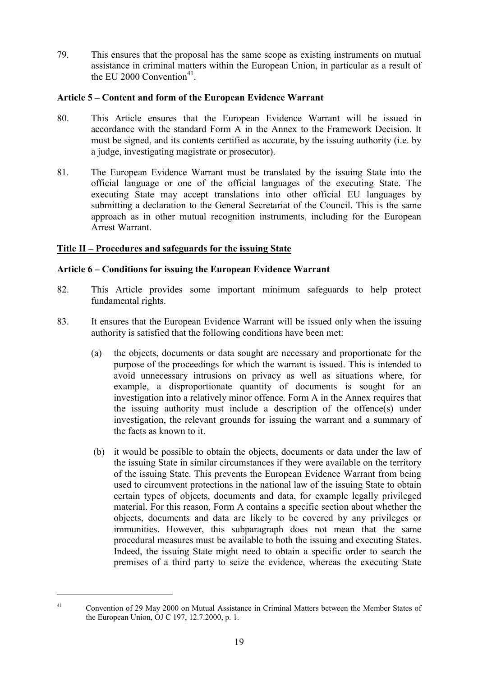79. This ensures that the proposal has the same scope as existing instruments on mutual assistance in criminal matters within the European Union, in particular as a result of the EU 2000 Convention<sup>41</sup>

## **Article 5 – Content and form of the European Evidence Warrant**

- 80. This Article ensures that the European Evidence Warrant will be issued in accordance with the standard Form A in the Annex to the Framework Decision. It must be signed, and its contents certified as accurate, by the issuing authority (i.e. by a judge, investigating magistrate or prosecutor).
- 81. The European Evidence Warrant must be translated by the issuing State into the official language or one of the official languages of the executing State. The executing State may accept translations into other official EU languages by submitting a declaration to the General Secretariat of the Council. This is the same approach as in other mutual recognition instruments, including for the European Arrest Warrant.

## **Title II – Procedures and safeguards for the issuing State**

 $\overline{a}$ 

## **Article 6 – Conditions for issuing the European Evidence Warrant**

- 82. This Article provides some important minimum safeguards to help protect fundamental rights.
- 83. It ensures that the European Evidence Warrant will be issued only when the issuing authority is satisfied that the following conditions have been met:
	- (a) the objects, documents or data sought are necessary and proportionate for the purpose of the proceedings for which the warrant is issued. This is intended to avoid unnecessary intrusions on privacy as well as situations where, for example, a disproportionate quantity of documents is sought for an investigation into a relatively minor offence. Form A in the Annex requires that the issuing authority must include a description of the offence(s) under investigation, the relevant grounds for issuing the warrant and a summary of the facts as known to it.
	- (b) it would be possible to obtain the objects, documents or data under the law of the issuing State in similar circumstances if they were available on the territory of the issuing State. This prevents the European Evidence Warrant from being used to circumvent protections in the national law of the issuing State to obtain certain types of objects, documents and data, for example legally privileged material. For this reason, Form A contains a specific section about whether the objects, documents and data are likely to be covered by any privileges or immunities. However, this subparagraph does not mean that the same procedural measures must be available to both the issuing and executing States. Indeed, the issuing State might need to obtain a specific order to search the premises of a third party to seize the evidence, whereas the executing State

<sup>41</sup> Convention of 29 May 2000 on Mutual Assistance in Criminal Matters between the Member States of the European Union, OJ C 197, 12.7.2000, p. 1.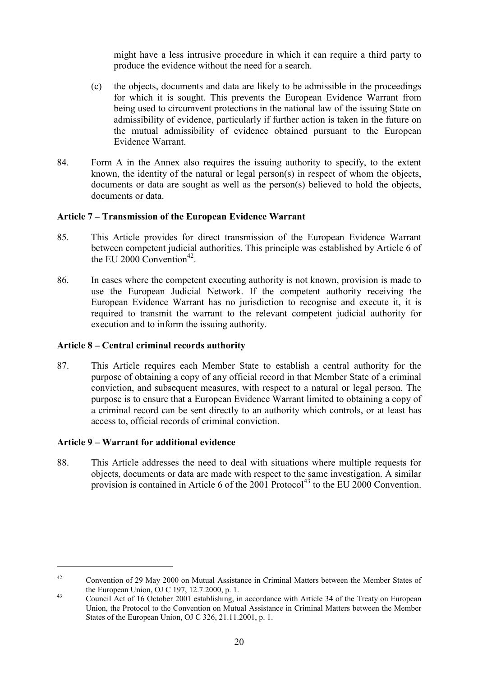might have a less intrusive procedure in which it can require a third party to produce the evidence without the need for a search.

- (c) the objects, documents and data are likely to be admissible in the proceedings for which it is sought. This prevents the European Evidence Warrant from being used to circumvent protections in the national law of the issuing State on admissibility of evidence, particularly if further action is taken in the future on the mutual admissibility of evidence obtained pursuant to the European Evidence Warrant.
- 84. Form A in the Annex also requires the issuing authority to specify, to the extent known, the identity of the natural or legal person(s) in respect of whom the objects, documents or data are sought as well as the person(s) believed to hold the objects, documents or data.

## **Article 7 – Transmission of the European Evidence Warrant**

- 85. This Article provides for direct transmission of the European Evidence Warrant between competent judicial authorities. This principle was established by Article 6 of the EU 2000 Convention<sup>42</sup>.
- 86. In cases where the competent executing authority is not known, provision is made to use the European Judicial Network. If the competent authority receiving the European Evidence Warrant has no jurisdiction to recognise and execute it, it is required to transmit the warrant to the relevant competent judicial authority for execution and to inform the issuing authority.

#### **Article 8 – Central criminal records authority**

87. This Article requires each Member State to establish a central authority for the purpose of obtaining a copy of any official record in that Member State of a criminal conviction, and subsequent measures, with respect to a natural or legal person. The purpose is to ensure that a European Evidence Warrant limited to obtaining a copy of a criminal record can be sent directly to an authority which controls, or at least has access to, official records of criminal conviction.

## **Article 9 – Warrant for additional evidence**

 $\overline{a}$ 

88. This Article addresses the need to deal with situations where multiple requests for objects, documents or data are made with respect to the same investigation. A similar provision is contained in Article 6 of the 2001 Protocol<sup>43</sup> to the EU 2000 Convention.

<sup>42</sup> Convention of 29 May 2000 on Mutual Assistance in Criminal Matters between the Member States of the European Union, OJ C 197, 12.7.2000, p. 1.

<sup>&</sup>lt;sup>43</sup> Council Act of 16 October 2001 establishing, in accordance with Article 34 of the Treaty on European Union, the Protocol to the Convention on Mutual Assistance in Criminal Matters between the Member States of the European Union, OJ C 326, 21.11.2001, p. 1.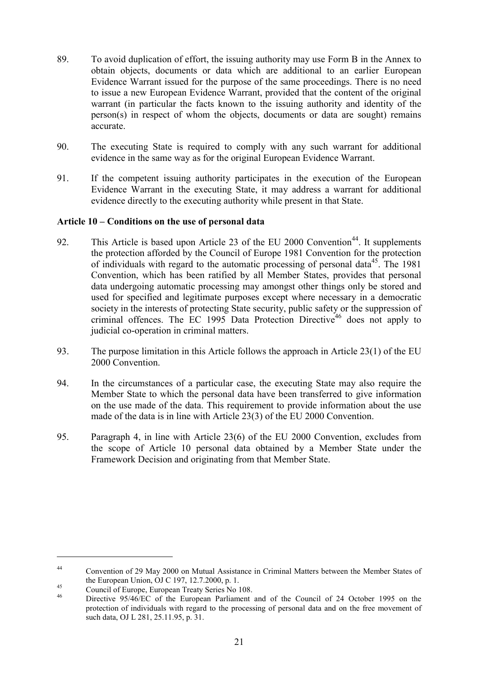- 89. To avoid duplication of effort, the issuing authority may use Form B in the Annex to obtain objects, documents or data which are additional to an earlier European Evidence Warrant issued for the purpose of the same proceedings. There is no need to issue a new European Evidence Warrant, provided that the content of the original warrant (in particular the facts known to the issuing authority and identity of the person(s) in respect of whom the objects, documents or data are sought) remains accurate.
- 90. The executing State is required to comply with any such warrant for additional evidence in the same way as for the original European Evidence Warrant.
- 91. If the competent issuing authority participates in the execution of the European Evidence Warrant in the executing State, it may address a warrant for additional evidence directly to the executing authority while present in that State.

#### **Article 10 – Conditions on the use of personal data**

- 92. This Article is based upon Article 23 of the EU 2000 Convention<sup>44</sup>. It supplements the protection afforded by the Council of Europe 1981 Convention for the protection of individuals with regard to the automatic processing of personal data<sup>45</sup>. The 1981 Convention, which has been ratified by all Member States, provides that personal data undergoing automatic processing may amongst other things only be stored and used for specified and legitimate purposes except where necessary in a democratic society in the interests of protecting State security, public safety or the suppression of criminal offences. The EC 1995 Data Protection Directive<sup>46</sup> does not apply to judicial co-operation in criminal matters.
- 93. The purpose limitation in this Article follows the approach in Article 23(1) of the EU 2000 Convention
- 94. In the circumstances of a particular case, the executing State may also require the Member State to which the personal data have been transferred to give information on the use made of the data. This requirement to provide information about the use made of the data is in line with Article 23(3) of the EU 2000 Convention.
- 95. Paragraph 4, in line with Article 23(6) of the EU 2000 Convention, excludes from the scope of Article 10 personal data obtained by a Member State under the Framework Decision and originating from that Member State.

<sup>44</sup> Convention of 29 May 2000 on Mutual Assistance in Criminal Matters between the Member States of the European Union, OJ C 197, 12.7.2000, p. 1.<br>
Council of Europe, European Treaty Series No 108.<br>
Directive 95/46/EC of the European Parliament and of the Council of 24 October 1995 on the

protection of individuals with regard to the processing of personal data and on the free movement of such data, OJ L 281, 25.11.95, p. 31.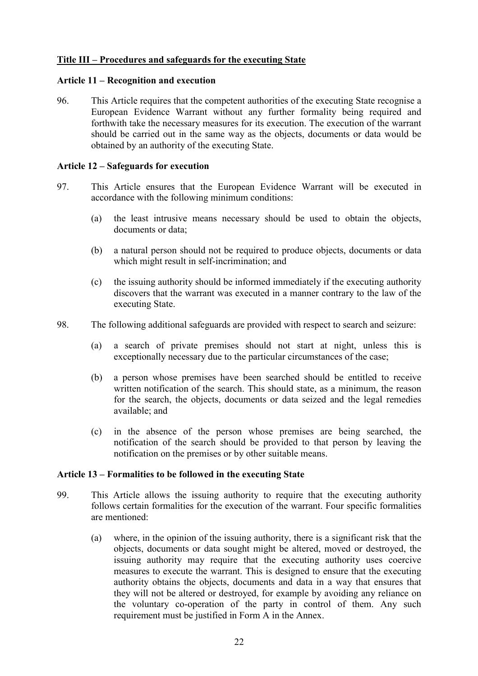## **Title III – Procedures and safeguards for the executing State**

#### **Article 11 – Recognition and execution**

96. This Article requires that the competent authorities of the executing State recognise a European Evidence Warrant without any further formality being required and forthwith take the necessary measures for its execution. The execution of the warrant should be carried out in the same way as the objects, documents or data would be obtained by an authority of the executing State.

#### **Article 12 – Safeguards for execution**

- 97. This Article ensures that the European Evidence Warrant will be executed in accordance with the following minimum conditions:
	- (a) the least intrusive means necessary should be used to obtain the objects, documents or data;
	- (b) a natural person should not be required to produce objects, documents or data which might result in self-incrimination; and
	- (c) the issuing authority should be informed immediately if the executing authority discovers that the warrant was executed in a manner contrary to the law of the executing State.
- 98. The following additional safeguards are provided with respect to search and seizure:
	- (a) a search of private premises should not start at night, unless this is exceptionally necessary due to the particular circumstances of the case;
	- (b) a person whose premises have been searched should be entitled to receive written notification of the search. This should state, as a minimum, the reason for the search, the objects, documents or data seized and the legal remedies available; and
	- (c) in the absence of the person whose premises are being searched, the notification of the search should be provided to that person by leaving the notification on the premises or by other suitable means.

#### **Article 13 – Formalities to be followed in the executing State**

- 99. This Article allows the issuing authority to require that the executing authority follows certain formalities for the execution of the warrant. Four specific formalities are mentioned:
	- (a) where, in the opinion of the issuing authority, there is a significant risk that the objects, documents or data sought might be altered, moved or destroyed, the issuing authority may require that the executing authority uses coercive measures to execute the warrant. This is designed to ensure that the executing authority obtains the objects, documents and data in a way that ensures that they will not be altered or destroyed, for example by avoiding any reliance on the voluntary co-operation of the party in control of them. Any such requirement must be justified in Form A in the Annex.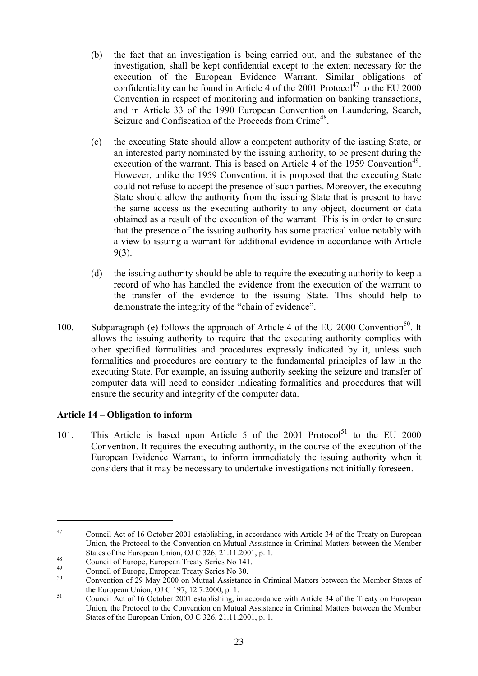- (b) the fact that an investigation is being carried out, and the substance of the investigation, shall be kept confidential except to the extent necessary for the execution of the European Evidence Warrant. Similar obligations of confidentiality can be found in Article 4 of the  $2001$  Protocol<sup>47</sup> to the EU 2000 Convention in respect of monitoring and information on banking transactions, and in Article 33 of the 1990 European Convention on Laundering, Search, Seizure and Confiscation of the Proceeds from Crime<sup>48</sup>.
- (c) the executing State should allow a competent authority of the issuing State, or an interested party nominated by the issuing authority, to be present during the execution of the warrant. This is based on Article 4 of the 1959 Convention<sup>49</sup>. However, unlike the 1959 Convention, it is proposed that the executing State could not refuse to accept the presence of such parties. Moreover, the executing State should allow the authority from the issuing State that is present to have the same access as the executing authority to any object, document or data obtained as a result of the execution of the warrant. This is in order to ensure that the presence of the issuing authority has some practical value notably with a view to issuing a warrant for additional evidence in accordance with Article 9(3).
- (d) the issuing authority should be able to require the executing authority to keep a record of who has handled the evidence from the execution of the warrant to the transfer of the evidence to the issuing State. This should help to demonstrate the integrity of the "chain of evidence".
- 100. Subparagraph (e) follows the approach of Article 4 of the EU 2000 Convention<sup>50</sup>. It allows the issuing authority to require that the executing authority complies with other specified formalities and procedures expressly indicated by it, unless such formalities and procedures are contrary to the fundamental principles of law in the executing State. For example, an issuing authority seeking the seizure and transfer of computer data will need to consider indicating formalities and procedures that will ensure the security and integrity of the computer data.

## **Article 14 – Obligation to inform**

 $\overline{a}$ 

101. This Article is based upon Article 5 of the  $2001$  Protocol<sup>51</sup> to the EU 2000 Convention. It requires the executing authority, in the course of the execution of the European Evidence Warrant, to inform immediately the issuing authority when it considers that it may be necessary to undertake investigations not initially foreseen.

<sup>&</sup>lt;sup>47</sup> Council Act of 16 October 2001 establishing, in accordance with Article 34 of the Treaty on European Union, the Protocol to the Convention on Mutual Assistance in Criminal Matters between the Member

States of the European Union, OJ C 326, 21.11.2001, p. 1.<br>
<sup>48</sup> Council of Europe, European Treaty Series No 141.<br>
<sup>49</sup> Council of Europe, European Treaty Series No 30.<br>
Convention of 29 May 2000 on Mutual Assistance in Cr

 $t<sup>51</sup>$  Council Act of 16 October 2001 establishing, in accordance with Article 34 of the Treaty on European Union, the Protocol to the Convention on Mutual Assistance in Criminal Matters between the Member States of the European Union, OJ C 326, 21.11.2001, p. 1.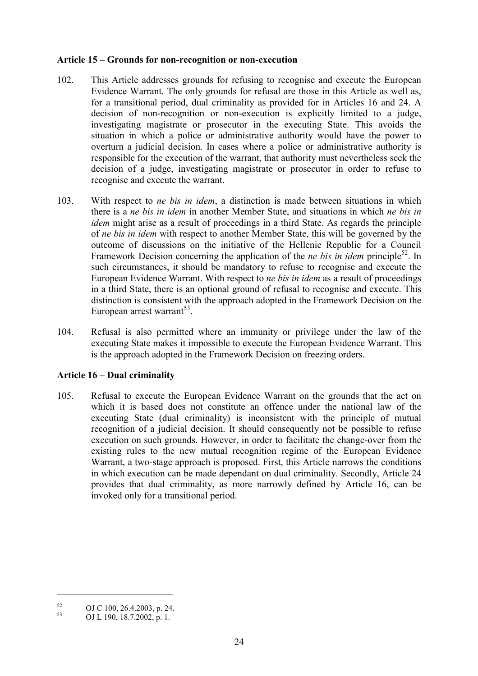## **Article 15 – Grounds for non-recognition or non-execution**

- 102. This Article addresses grounds for refusing to recognise and execute the European Evidence Warrant. The only grounds for refusal are those in this Article as well as, for a transitional period, dual criminality as provided for in Articles 16 and 24. A decision of non-recognition or non-execution is explicitly limited to a judge, investigating magistrate or prosecutor in the executing State. This avoids the situation in which a police or administrative authority would have the power to overturn a judicial decision. In cases where a police or administrative authority is responsible for the execution of the warrant, that authority must nevertheless seek the decision of a judge, investigating magistrate or prosecutor in order to refuse to recognise and execute the warrant.
- 103. With respect to *ne bis in idem*, a distinction is made between situations in which there is a *ne bis in idem* in another Member State, and situations in which *ne bis in idem* might arise as a result of proceedings in a third State. As regards the principle of *ne bis in idem* with respect to another Member State, this will be governed by the outcome of discussions on the initiative of the Hellenic Republic for a Council Framework Decision concerning the application of the *ne bis in idem* principle<sup>52</sup>. In such circumstances, it should be mandatory to refuse to recognise and execute the European Evidence Warrant. With respect to *ne bis in idem* as a result of proceedings in a third State, there is an optional ground of refusal to recognise and execute. This distinction is consistent with the approach adopted in the Framework Decision on the European arrest warrant<sup>53</sup>.
- 104. Refusal is also permitted where an immunity or privilege under the law of the executing State makes it impossible to execute the European Evidence Warrant. This is the approach adopted in the Framework Decision on freezing orders.

## **Article 16 – Dual criminality**

105. Refusal to execute the European Evidence Warrant on the grounds that the act on which it is based does not constitute an offence under the national law of the executing State (dual criminality) is inconsistent with the principle of mutual recognition of a judicial decision. It should consequently not be possible to refuse execution on such grounds. However, in order to facilitate the change-over from the existing rules to the new mutual recognition regime of the European Evidence Warrant, a two-stage approach is proposed. First, this Article narrows the conditions in which execution can be made dependant on dual criminality. Secondly, Article 24 provides that dual criminality, as more narrowly defined by Article 16, can be invoked only for a transitional period.

 $^{52}$  OJ C 100, 26.4.2003, p. 24.<br>OJ L 190, 18.7.2002, p. 1.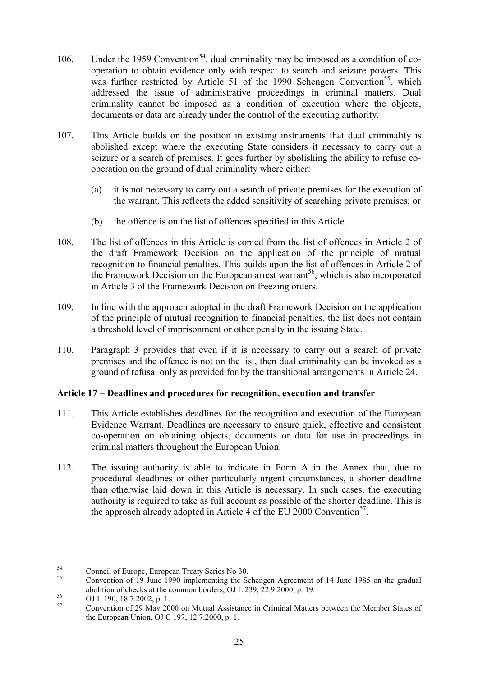- 106. Under the 1959 Convention<sup>54</sup>, dual criminality may be imposed as a condition of cooperation to obtain evidence only with respect to search and seizure powers. This was further restricted by Article 51 of the 1990 Schengen Convention<sup>55</sup>, which addressed the issue of administrative proceedings in criminal matters. Dual criminality cannot be imposed as a condition of execution where the objects, documents or data are already under the control of the executing authority.
- 107. This Article builds on the position in existing instruments that dual criminality is abolished except where the executing State considers it necessary to carry out a seizure or a search of premises. It goes further by abolishing the ability to refuse cooperation on the ground of dual criminality where either:
	- (a) it is not necessary to carry out a search of private premises for the execution of the warrant. This reflects the added sensitivity of searching private premises; or
	- (b) the offence is on the list of offences specified in this Article.
- 108. The list of offences in this Article is copied from the list of offences in Article 2 of the draft Framework Decision on the application of the principle of mutual recognition to financial penalties. This builds upon the list of offences in Article 2 of the Framework Decision on the European arrest warrant<sup>56</sup>, which is also incorporated in Article 3 of the Framework Decision on freezing orders.
- 109. In line with the approach adopted in the draft Framework Decision on the application of the principle of mutual recognition to financial penalties, the list does not contain a threshold level of imprisonment or other penalty in the issuing State.
- 110. Paragraph 3 provides that even if it is necessary to carry out a search of private premises and the offence is not on the list, then dual criminality can be invoked as a ground of refusal only as provided for by the transitional arrangements in Article 24.

## **Article 17 – Deadlines and procedures for recognition, execution and transfer**

- 111. This Article establishes deadlines for the recognition and execution of the European Evidence Warrant. Deadlines are necessary to ensure quick, effective and consistent co-operation on obtaining objects, documents or data for use in proceedings in criminal matters throughout the European Union.
- 112. The issuing authority is able to indicate in Form A in the Annex that, due to procedural deadlines or other particularly urgent circumstances, a shorter deadline than otherwise laid down in this Article is necessary. In such cases, the executing authority is required to take as full account as possible of the shorter deadline. This is the approach already adopted in Article 4 of the EU 2000 Convention<sup>57</sup>.

<sup>&</sup>lt;sup>54</sup> Council of Europe, European Treaty Series No 30.<br>
Convention of 19 June 1990 implementing the Schengen Agreement of 14 June 1985 on the gradual<br>
abolition of checks at the common borders, OJ L 239, 22.9.2000, p. 19.

 $\frac{36}{57}$  OJ L 190, 18.7.2002, p. 1.<br>57 Convention of 29 May 2000 on Mutual Assistance in Criminal Matters between the Member States of the European Union, OJ C 197, 12.7.2000, p. 1.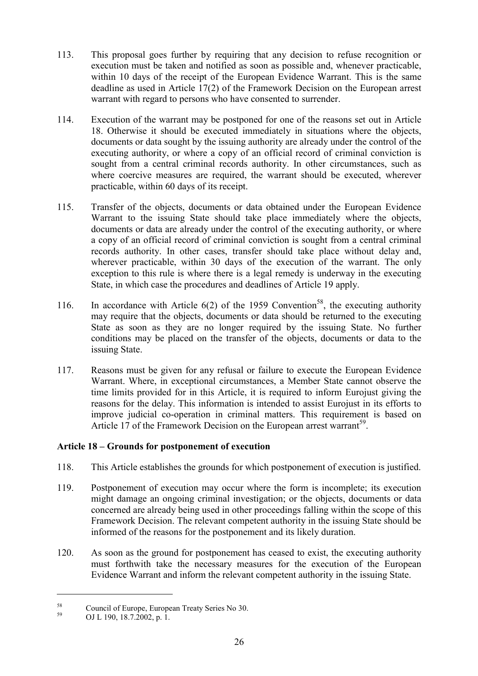- 113. This proposal goes further by requiring that any decision to refuse recognition or execution must be taken and notified as soon as possible and, whenever practicable, within 10 days of the receipt of the European Evidence Warrant. This is the same deadline as used in Article 17(2) of the Framework Decision on the European arrest warrant with regard to persons who have consented to surrender.
- 114. Execution of the warrant may be postponed for one of the reasons set out in Article 18. Otherwise it should be executed immediately in situations where the objects, documents or data sought by the issuing authority are already under the control of the executing authority, or where a copy of an official record of criminal conviction is sought from a central criminal records authority. In other circumstances, such as where coercive measures are required, the warrant should be executed, wherever practicable, within 60 days of its receipt.
- 115. Transfer of the objects, documents or data obtained under the European Evidence Warrant to the issuing State should take place immediately where the objects, documents or data are already under the control of the executing authority, or where a copy of an official record of criminal conviction is sought from a central criminal records authority. In other cases, transfer should take place without delay and, wherever practicable, within 30 days of the execution of the warrant. The only exception to this rule is where there is a legal remedy is underway in the executing State, in which case the procedures and deadlines of Article 19 apply.
- 116. In accordance with Article  $6(2)$  of the 1959 Convention<sup>58</sup>, the executing authority may require that the objects, documents or data should be returned to the executing State as soon as they are no longer required by the issuing State. No further conditions may be placed on the transfer of the objects, documents or data to the issuing State.
- 117. Reasons must be given for any refusal or failure to execute the European Evidence Warrant. Where, in exceptional circumstances, a Member State cannot observe the time limits provided for in this Article, it is required to inform Eurojust giving the reasons for the delay. This information is intended to assist Eurojust in its efforts to improve judicial co-operation in criminal matters. This requirement is based on Article 17 of the Framework Decision on the European arrest warrant<sup>59</sup>.

## **Article 18 – Grounds for postponement of execution**

- 118. This Article establishes the grounds for which postponement of execution is justified.
- 119. Postponement of execution may occur where the form is incomplete; its execution might damage an ongoing criminal investigation; or the objects, documents or data concerned are already being used in other proceedings falling within the scope of this Framework Decision. The relevant competent authority in the issuing State should be informed of the reasons for the postponement and its likely duration.
- 120. As soon as the ground for postponement has ceased to exist, the executing authority must forthwith take the necessary measures for the execution of the European Evidence Warrant and inform the relevant competent authority in the issuing State.

<sup>&</sup>lt;sup>58</sup><br>Council of Europe, European Treaty Series No 30.<br>OJ L 190, 18.7.2002, p. 1.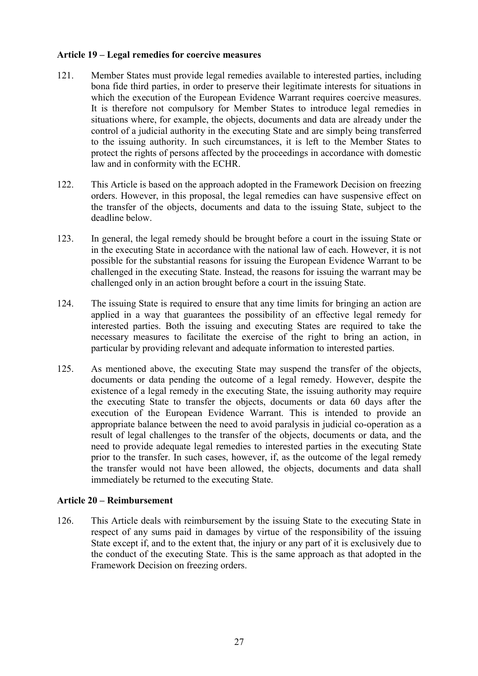## **Article 19 – Legal remedies for coercive measures**

- 121. Member States must provide legal remedies available to interested parties, including bona fide third parties, in order to preserve their legitimate interests for situations in which the execution of the European Evidence Warrant requires coercive measures. It is therefore not compulsory for Member States to introduce legal remedies in situations where, for example, the objects, documents and data are already under the control of a judicial authority in the executing State and are simply being transferred to the issuing authority. In such circumstances, it is left to the Member States to protect the rights of persons affected by the proceedings in accordance with domestic law and in conformity with the ECHR.
- 122. This Article is based on the approach adopted in the Framework Decision on freezing orders. However, in this proposal, the legal remedies can have suspensive effect on the transfer of the objects, documents and data to the issuing State, subject to the deadline below.
- 123. In general, the legal remedy should be brought before a court in the issuing State or in the executing State in accordance with the national law of each. However, it is not possible for the substantial reasons for issuing the European Evidence Warrant to be challenged in the executing State. Instead, the reasons for issuing the warrant may be challenged only in an action brought before a court in the issuing State.
- 124. The issuing State is required to ensure that any time limits for bringing an action are applied in a way that guarantees the possibility of an effective legal remedy for interested parties. Both the issuing and executing States are required to take the necessary measures to facilitate the exercise of the right to bring an action, in particular by providing relevant and adequate information to interested parties.
- 125. As mentioned above, the executing State may suspend the transfer of the objects, documents or data pending the outcome of a legal remedy. However, despite the existence of a legal remedy in the executing State, the issuing authority may require the executing State to transfer the objects, documents or data 60 days after the execution of the European Evidence Warrant. This is intended to provide an appropriate balance between the need to avoid paralysis in judicial co-operation as a result of legal challenges to the transfer of the objects, documents or data, and the need to provide adequate legal remedies to interested parties in the executing State prior to the transfer. In such cases, however, if, as the outcome of the legal remedy the transfer would not have been allowed, the objects, documents and data shall immediately be returned to the executing State.

## **Article 20 – Reimbursement**

126. This Article deals with reimbursement by the issuing State to the executing State in respect of any sums paid in damages by virtue of the responsibility of the issuing State except if, and to the extent that, the injury or any part of it is exclusively due to the conduct of the executing State. This is the same approach as that adopted in the Framework Decision on freezing orders.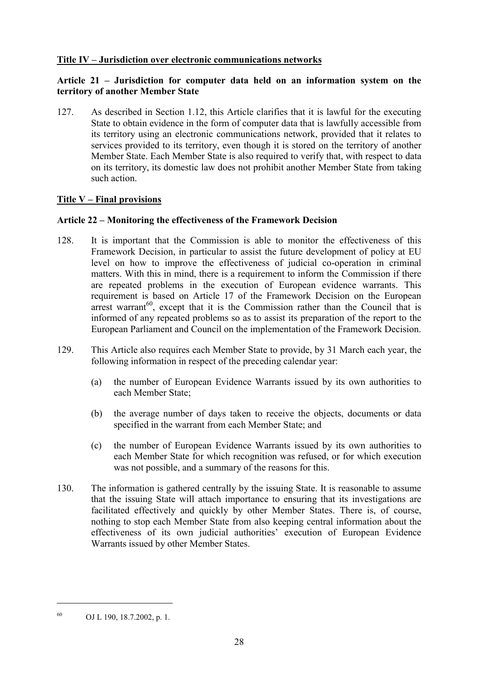## **Title IV – Jurisdiction over electronic communications networks**

## **Article 21 – Jurisdiction for computer data held on an information system on the territory of another Member State**

127. As described in Section 1.12, this Article clarifies that it is lawful for the executing State to obtain evidence in the form of computer data that is lawfully accessible from its territory using an electronic communications network, provided that it relates to services provided to its territory, even though it is stored on the territory of another Member State. Each Member State is also required to verify that, with respect to data on its territory, its domestic law does not prohibit another Member State from taking such action.

## **Title V – Final provisions**

## **Article 22 – Monitoring the effectiveness of the Framework Decision**

- 128. It is important that the Commission is able to monitor the effectiveness of this Framework Decision, in particular to assist the future development of policy at EU level on how to improve the effectiveness of judicial co-operation in criminal matters. With this in mind, there is a requirement to inform the Commission if there are repeated problems in the execution of European evidence warrants. This requirement is based on Article 17 of the Framework Decision on the European arrest warrant<sup>60</sup>, except that it is the Commission rather than the Council that is informed of any repeated problems so as to assist its preparation of the report to the European Parliament and Council on the implementation of the Framework Decision.
- 129. This Article also requires each Member State to provide, by 31 March each year, the following information in respect of the preceding calendar year:
	- (a) the number of European Evidence Warrants issued by its own authorities to each Member State;
	- (b) the average number of days taken to receive the objects, documents or data specified in the warrant from each Member State; and
	- (c) the number of European Evidence Warrants issued by its own authorities to each Member State for which recognition was refused, or for which execution was not possible, and a summary of the reasons for this.
- 130. The information is gathered centrally by the issuing State. It is reasonable to assume that the issuing State will attach importance to ensuring that its investigations are facilitated effectively and quickly by other Member States. There is, of course, nothing to stop each Member State from also keeping central information about the effectiveness of its own judicial authorities' execution of European Evidence Warrants issued by other Member States.

<sup>60</sup> OJ L 190, 18.7.2002, p. 1.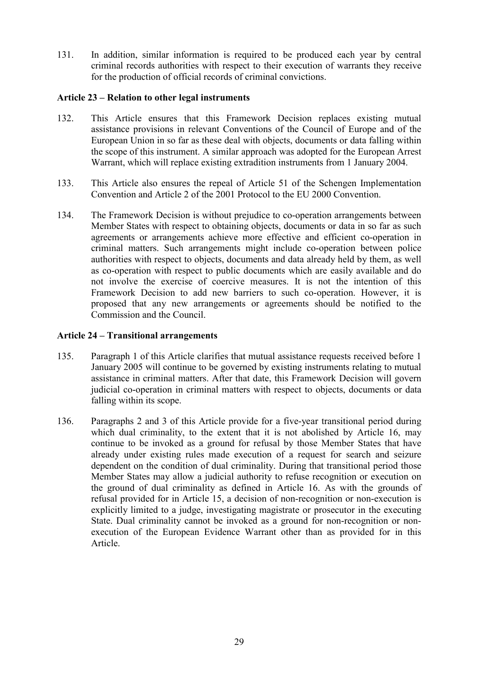131. In addition, similar information is required to be produced each year by central criminal records authorities with respect to their execution of warrants they receive for the production of official records of criminal convictions.

## **Article 23 – Relation to other legal instruments**

- 132. This Article ensures that this Framework Decision replaces existing mutual assistance provisions in relevant Conventions of the Council of Europe and of the European Union in so far as these deal with objects, documents or data falling within the scope of this instrument. A similar approach was adopted for the European Arrest Warrant, which will replace existing extradition instruments from 1 January 2004.
- 133. This Article also ensures the repeal of Article 51 of the Schengen Implementation Convention and Article 2 of the 2001 Protocol to the EU 2000 Convention.
- 134. The Framework Decision is without prejudice to co-operation arrangements between Member States with respect to obtaining objects, documents or data in so far as such agreements or arrangements achieve more effective and efficient co-operation in criminal matters. Such arrangements might include co-operation between police authorities with respect to objects, documents and data already held by them, as well as co-operation with respect to public documents which are easily available and do not involve the exercise of coercive measures. It is not the intention of this Framework Decision to add new barriers to such co-operation. However, it is proposed that any new arrangements or agreements should be notified to the Commission and the Council.

#### **Article 24 – Transitional arrangements**

- 135. Paragraph 1 of this Article clarifies that mutual assistance requests received before 1 January 2005 will continue to be governed by existing instruments relating to mutual assistance in criminal matters. After that date, this Framework Decision will govern judicial co-operation in criminal matters with respect to objects, documents or data falling within its scope.
- 136. Paragraphs 2 and 3 of this Article provide for a five-year transitional period during which dual criminality, to the extent that it is not abolished by Article 16, may continue to be invoked as a ground for refusal by those Member States that have already under existing rules made execution of a request for search and seizure dependent on the condition of dual criminality. During that transitional period those Member States may allow a judicial authority to refuse recognition or execution on the ground of dual criminality as defined in Article 16. As with the grounds of refusal provided for in Article 15, a decision of non-recognition or non-execution is explicitly limited to a judge, investigating magistrate or prosecutor in the executing State. Dual criminality cannot be invoked as a ground for non-recognition or nonexecution of the European Evidence Warrant other than as provided for in this Article.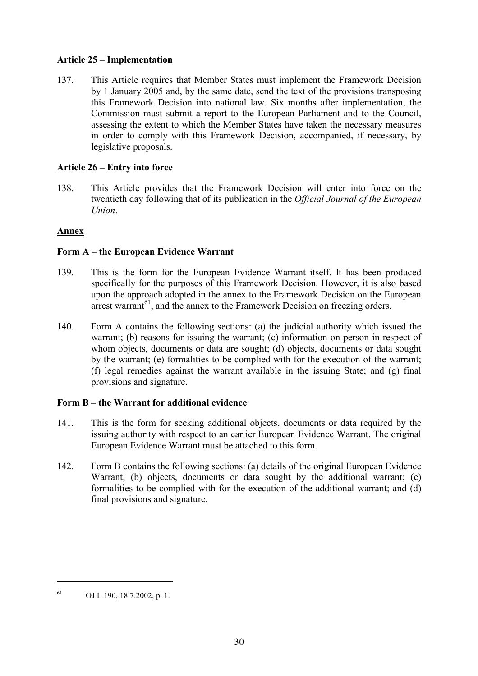## **Article 25 – Implementation**

137. This Article requires that Member States must implement the Framework Decision by 1 January 2005 and, by the same date, send the text of the provisions transposing this Framework Decision into national law. Six months after implementation, the Commission must submit a report to the European Parliament and to the Council, assessing the extent to which the Member States have taken the necessary measures in order to comply with this Framework Decision, accompanied, if necessary, by legislative proposals.

## **Article 26 – Entry into force**

138. This Article provides that the Framework Decision will enter into force on the twentieth day following that of its publication in the *Official Journal of the European Union*.

## **Annex**

## **Form A – the European Evidence Warrant**

- 139. This is the form for the European Evidence Warrant itself. It has been produced specifically for the purposes of this Framework Decision. However, it is also based upon the approach adopted in the annex to the Framework Decision on the European arrest warrant<sup> $61$ </sup>, and the annex to the Framework Decision on freezing orders.
- 140. Form A contains the following sections: (a) the judicial authority which issued the warrant; (b) reasons for issuing the warrant; (c) information on person in respect of whom objects, documents or data are sought; (d) objects, documents or data sought by the warrant; (e) formalities to be complied with for the execution of the warrant; (f) legal remedies against the warrant available in the issuing State; and (g) final provisions and signature.

## **Form B – the Warrant for additional evidence**

- 141. This is the form for seeking additional objects, documents or data required by the issuing authority with respect to an earlier European Evidence Warrant. The original European Evidence Warrant must be attached to this form.
- 142. Form B contains the following sections: (a) details of the original European Evidence Warrant; (b) objects, documents or data sought by the additional warrant; (c) formalities to be complied with for the execution of the additional warrant; and (d) final provisions and signature.

 $61$  OJ L 190, 18.7.2002, p. 1.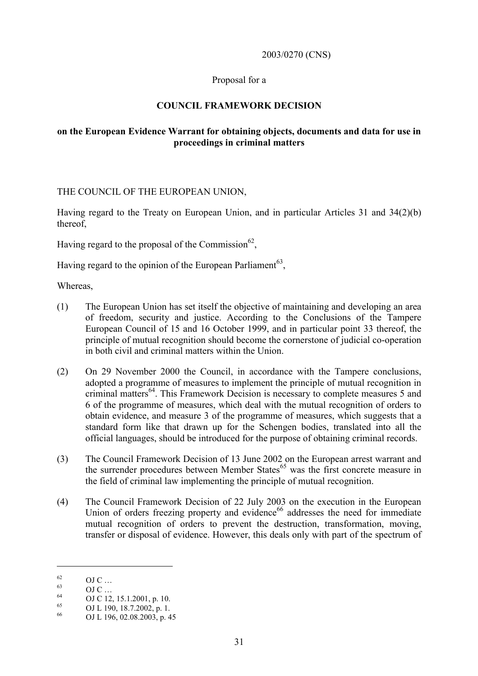#### 2003/0270 (CNS)

## Proposal for a

## **COUNCIL FRAMEWORK DECISION**

## **on the European Evidence Warrant for obtaining objects, documents and data for use in proceedings in criminal matters**

## THE COUNCIL OF THE EUROPEAN UNION,

Having regard to the Treaty on European Union, and in particular Articles 31 and 34(2)(b) thereof,

Having regard to the proposal of the Commission<sup>62</sup>.

Having regard to the opinion of the European Parliament<sup>63</sup>,

Whereas,

- (1) The European Union has set itself the objective of maintaining and developing an area of freedom, security and justice. According to the Conclusions of the Tampere European Council of 15 and 16 October 1999, and in particular point 33 thereof, the principle of mutual recognition should become the cornerstone of judicial co-operation in both civil and criminal matters within the Union.
- (2) On 29 November 2000 the Council, in accordance with the Tampere conclusions, adopted a programme of measures to implement the principle of mutual recognition in criminal matters<sup>64</sup>. This Framework Decision is necessary to complete measures 5 and 6 of the programme of measures, which deal with the mutual recognition of orders to obtain evidence, and measure 3 of the programme of measures, which suggests that a standard form like that drawn up for the Schengen bodies, translated into all the official languages, should be introduced for the purpose of obtaining criminal records.
- (3) The Council Framework Decision of 13 June 2002 on the European arrest warrant and the surrender procedures between Member States $65$  was the first concrete measure in the field of criminal law implementing the principle of mutual recognition.
- (4) The Council Framework Decision of 22 July 2003 on the execution in the European Union of orders freezing property and evidence<sup>66</sup> addresses the need for immediate mutual recognition of orders to prevent the destruction, transformation, moving, transfer or disposal of evidence. However, this deals only with part of the spectrum of

<sup>62</sup> OJ C ...<br>
63 OJ C ...<br>
64 OJ C 12, 15.1.2001, p. 10.<br>
65 OJ L 190, 18.7.2002, p. 1.<br>
60 OJ L 196, 02.08.2003, p. 45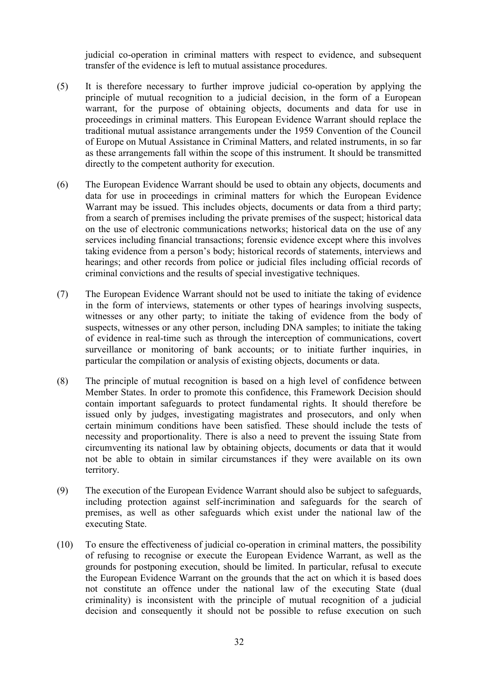judicial co-operation in criminal matters with respect to evidence, and subsequent transfer of the evidence is left to mutual assistance procedures.

- (5) It is therefore necessary to further improve judicial co-operation by applying the principle of mutual recognition to a judicial decision, in the form of a European warrant, for the purpose of obtaining objects, documents and data for use in proceedings in criminal matters. This European Evidence Warrant should replace the traditional mutual assistance arrangements under the 1959 Convention of the Council of Europe on Mutual Assistance in Criminal Matters, and related instruments, in so far as these arrangements fall within the scope of this instrument. It should be transmitted directly to the competent authority for execution.
- (6) The European Evidence Warrant should be used to obtain any objects, documents and data for use in proceedings in criminal matters for which the European Evidence Warrant may be issued. This includes objects, documents or data from a third party; from a search of premises including the private premises of the suspect; historical data on the use of electronic communications networks; historical data on the use of any services including financial transactions; forensic evidence except where this involves taking evidence from a person's body; historical records of statements, interviews and hearings; and other records from police or judicial files including official records of criminal convictions and the results of special investigative techniques.
- (7) The European Evidence Warrant should not be used to initiate the taking of evidence in the form of interviews, statements or other types of hearings involving suspects, witnesses or any other party; to initiate the taking of evidence from the body of suspects, witnesses or any other person, including DNA samples; to initiate the taking of evidence in real-time such as through the interception of communications, covert surveillance or monitoring of bank accounts; or to initiate further inquiries, in particular the compilation or analysis of existing objects, documents or data.
- (8) The principle of mutual recognition is based on a high level of confidence between Member States. In order to promote this confidence, this Framework Decision should contain important safeguards to protect fundamental rights. It should therefore be issued only by judges, investigating magistrates and prosecutors, and only when certain minimum conditions have been satisfied. These should include the tests of necessity and proportionality. There is also a need to prevent the issuing State from circumventing its national law by obtaining objects, documents or data that it would not be able to obtain in similar circumstances if they were available on its own territory.
- (9) The execution of the European Evidence Warrant should also be subject to safeguards, including protection against self-incrimination and safeguards for the search of premises, as well as other safeguards which exist under the national law of the executing State.
- (10) To ensure the effectiveness of judicial co-operation in criminal matters, the possibility of refusing to recognise or execute the European Evidence Warrant, as well as the grounds for postponing execution, should be limited. In particular, refusal to execute the European Evidence Warrant on the grounds that the act on which it is based does not constitute an offence under the national law of the executing State (dual criminality) is inconsistent with the principle of mutual recognition of a judicial decision and consequently it should not be possible to refuse execution on such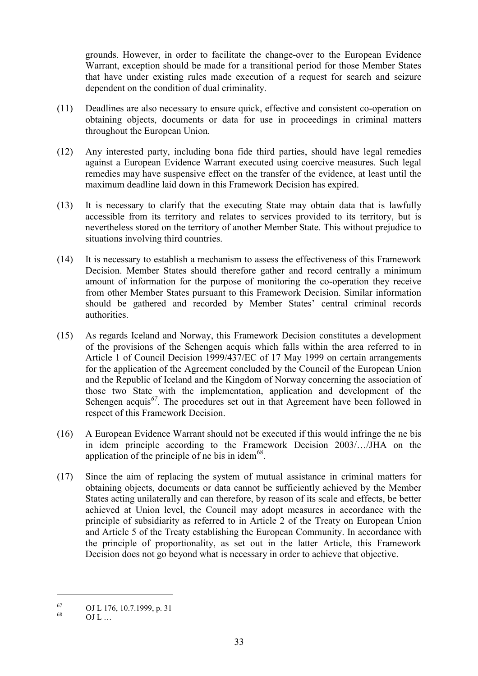grounds. However, in order to facilitate the change-over to the European Evidence Warrant, exception should be made for a transitional period for those Member States that have under existing rules made execution of a request for search and seizure dependent on the condition of dual criminality.

- (11) Deadlines are also necessary to ensure quick, effective and consistent co-operation on obtaining objects, documents or data for use in proceedings in criminal matters throughout the European Union.
- (12) Any interested party, including bona fide third parties, should have legal remedies against a European Evidence Warrant executed using coercive measures. Such legal remedies may have suspensive effect on the transfer of the evidence, at least until the maximum deadline laid down in this Framework Decision has expired.
- (13) It is necessary to clarify that the executing State may obtain data that is lawfully accessible from its territory and relates to services provided to its territory, but is nevertheless stored on the territory of another Member State. This without prejudice to situations involving third countries.
- (14) It is necessary to establish a mechanism to assess the effectiveness of this Framework Decision. Member States should therefore gather and record centrally a minimum amount of information for the purpose of monitoring the co-operation they receive from other Member States pursuant to this Framework Decision. Similar information should be gathered and recorded by Member States' central criminal records authorities.
- (15) As regards Iceland and Norway, this Framework Decision constitutes a development of the provisions of the Schengen acquis which falls within the area referred to in Article 1 of Council Decision 1999/437/EC of 17 May 1999 on certain arrangements for the application of the Agreement concluded by the Council of the European Union and the Republic of Iceland and the Kingdom of Norway concerning the association of those two State with the implementation, application and development of the Schengen acquis<sup>67</sup>. The procedures set out in that Agreement have been followed in respect of this Framework Decision.
- (16) A European Evidence Warrant should not be executed if this would infringe the ne bis in idem principle according to the Framework Decision 2003/…/JHA on the application of the principle of ne bis in idem $^{68}$ .
- (17) Since the aim of replacing the system of mutual assistance in criminal matters for obtaining objects, documents or data cannot be sufficiently achieved by the Member States acting unilaterally and can therefore, by reason of its scale and effects, be better achieved at Union level, the Council may adopt measures in accordance with the principle of subsidiarity as referred to in Article 2 of the Treaty on European Union and Article 5 of the Treaty establishing the European Community. In accordance with the principle of proportionality, as set out in the latter Article, this Framework Decision does not go beyond what is necessary in order to achieve that objective.

<sup>67</sup> OJ L 176, 10.7.1999, p. 31<br>OJ L ...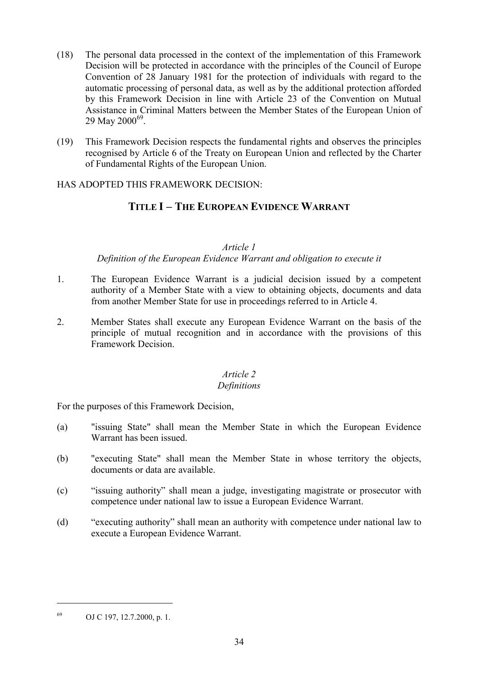- (18) The personal data processed in the context of the implementation of this Framework Decision will be protected in accordance with the principles of the Council of Europe Convention of 28 January 1981 for the protection of individuals with regard to the automatic processing of personal data, as well as by the additional protection afforded by this Framework Decision in line with Article 23 of the Convention on Mutual Assistance in Criminal Matters between the Member States of the European Union of  $29$  May  $2000^{69}$ .
- (19) This Framework Decision respects the fundamental rights and observes the principles recognised by Article 6 of the Treaty on European Union and reflected by the Charter of Fundamental Rights of the European Union.

## HAS ADOPTED THIS FRAMEWORK DECISION:

## **TITLE I – THE EUROPEAN EVIDENCE WARRANT**

#### *Article 1*

*Definition of the European Evidence Warrant and obligation to execute it*

- 1. The European Evidence Warrant is a judicial decision issued by a competent authority of a Member State with a view to obtaining objects, documents and data from another Member State for use in proceedings referred to in Article 4.
- 2. Member States shall execute any European Evidence Warrant on the basis of the principle of mutual recognition and in accordance with the provisions of this Framework Decision.

## *Article 2*

## *Definitions*

For the purposes of this Framework Decision,

- (a) "issuing State" shall mean the Member State in which the European Evidence Warrant has been issued.
- (b) "executing State" shall mean the Member State in whose territory the objects, documents or data are available.
- (c) "issuing authority" shall mean a judge, investigating magistrate or prosecutor with competence under national law to issue a European Evidence Warrant.
- (d) "executing authority" shall mean an authority with competence under national law to execute a European Evidence Warrant.

<sup>69</sup> OJ C 197, 12.7.2000, p. 1.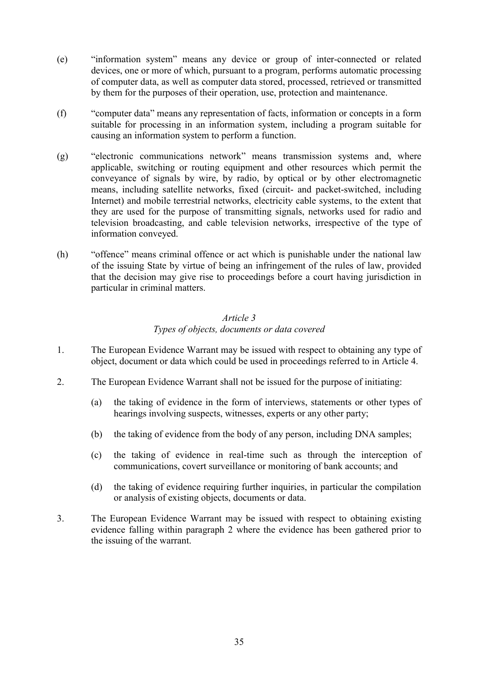- (e) "information system" means any device or group of inter-connected or related devices, one or more of which, pursuant to a program, performs automatic processing of computer data, as well as computer data stored, processed, retrieved or transmitted by them for the purposes of their operation, use, protection and maintenance.
- (f) "computer data" means any representation of facts, information or concepts in a form suitable for processing in an information system, including a program suitable for causing an information system to perform a function.
- (g) "electronic communications network" means transmission systems and, where applicable, switching or routing equipment and other resources which permit the conveyance of signals by wire, by radio, by optical or by other electromagnetic means, including satellite networks, fixed (circuit- and packet-switched, including Internet) and mobile terrestrial networks, electricity cable systems, to the extent that they are used for the purpose of transmitting signals, networks used for radio and television broadcasting, and cable television networks, irrespective of the type of information conveyed.
- (h) "offence" means criminal offence or act which is punishable under the national law of the issuing State by virtue of being an infringement of the rules of law, provided that the decision may give rise to proceedings before a court having jurisdiction in particular in criminal matters.

#### *Article 3*

## *Types of objects, documents or data covered*

- 1. The European Evidence Warrant may be issued with respect to obtaining any type of object, document or data which could be used in proceedings referred to in Article 4.
- 2. The European Evidence Warrant shall not be issued for the purpose of initiating:
	- (a) the taking of evidence in the form of interviews, statements or other types of hearings involving suspects, witnesses, experts or any other party;
	- (b) the taking of evidence from the body of any person, including DNA samples;
	- (c) the taking of evidence in real-time such as through the interception of communications, covert surveillance or monitoring of bank accounts; and
	- (d) the taking of evidence requiring further inquiries, in particular the compilation or analysis of existing objects, documents or data.
- 3. The European Evidence Warrant may be issued with respect to obtaining existing evidence falling within paragraph 2 where the evidence has been gathered prior to the issuing of the warrant.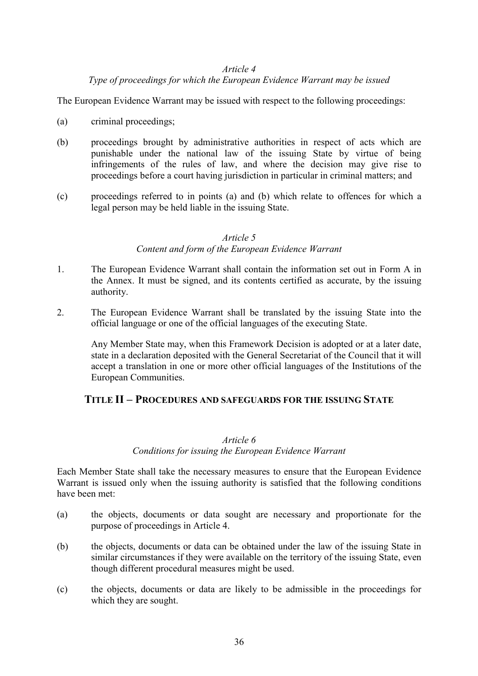#### *Article 4*

#### *Type of proceedings for which the European Evidence Warrant may be issued*

The European Evidence Warrant may be issued with respect to the following proceedings:

- (a) criminal proceedings;
- (b) proceedings brought by administrative authorities in respect of acts which are punishable under the national law of the issuing State by virtue of being infringements of the rules of law, and where the decision may give rise to proceedings before a court having jurisdiction in particular in criminal matters; and
- (c) proceedings referred to in points (a) and (b) which relate to offences for which a legal person may be held liable in the issuing State.

## *Article 5*

## *Content and form of the European Evidence Warrant*

- 1. The European Evidence Warrant shall contain the information set out in Form A in the Annex. It must be signed, and its contents certified as accurate, by the issuing authority.
- 2. The European Evidence Warrant shall be translated by the issuing State into the official language or one of the official languages of the executing State.

Any Member State may, when this Framework Decision is adopted or at a later date, state in a declaration deposited with the General Secretariat of the Council that it will accept a translation in one or more other official languages of the Institutions of the European Communities.

## **TITLE II – PROCEDURES AND SAFEGUARDS FOR THE ISSUING STATE**

## *Article 6 Conditions for issuing the European Evidence Warrant*

Each Member State shall take the necessary measures to ensure that the European Evidence Warrant is issued only when the issuing authority is satisfied that the following conditions have been met:

- (a) the objects, documents or data sought are necessary and proportionate for the purpose of proceedings in Article 4.
- (b) the objects, documents or data can be obtained under the law of the issuing State in similar circumstances if they were available on the territory of the issuing State, even though different procedural measures might be used.
- (c) the objects, documents or data are likely to be admissible in the proceedings for which they are sought.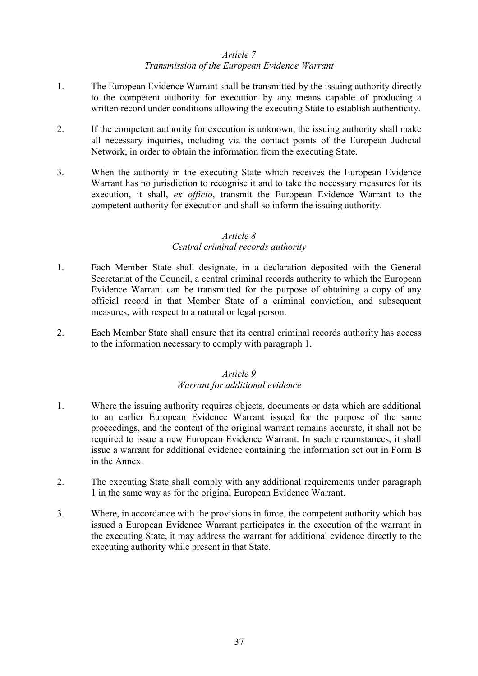## *Article 7 Transmission of the European Evidence Warrant*

- 1. The European Evidence Warrant shall be transmitted by the issuing authority directly to the competent authority for execution by any means capable of producing a written record under conditions allowing the executing State to establish authenticity.
- 2. If the competent authority for execution is unknown, the issuing authority shall make all necessary inquiries, including via the contact points of the European Judicial Network, in order to obtain the information from the executing State.
- 3. When the authority in the executing State which receives the European Evidence Warrant has no jurisdiction to recognise it and to take the necessary measures for its execution, it shall, *ex officio*, transmit the European Evidence Warrant to the competent authority for execution and shall so inform the issuing authority.

## *Article 8*

## *Central criminal records authority*

- 1. Each Member State shall designate, in a declaration deposited with the General Secretariat of the Council, a central criminal records authority to which the European Evidence Warrant can be transmitted for the purpose of obtaining a copy of any official record in that Member State of a criminal conviction, and subsequent measures, with respect to a natural or legal person.
- 2. Each Member State shall ensure that its central criminal records authority has access to the information necessary to comply with paragraph 1.

## *Article 9 Warrant for additional evidence*

- 1. Where the issuing authority requires objects, documents or data which are additional to an earlier European Evidence Warrant issued for the purpose of the same proceedings, and the content of the original warrant remains accurate, it shall not be required to issue a new European Evidence Warrant. In such circumstances, it shall issue a warrant for additional evidence containing the information set out in Form B in the Annex.
- 2. The executing State shall comply with any additional requirements under paragraph 1 in the same way as for the original European Evidence Warrant.
- 3. Where, in accordance with the provisions in force, the competent authority which has issued a European Evidence Warrant participates in the execution of the warrant in the executing State, it may address the warrant for additional evidence directly to the executing authority while present in that State.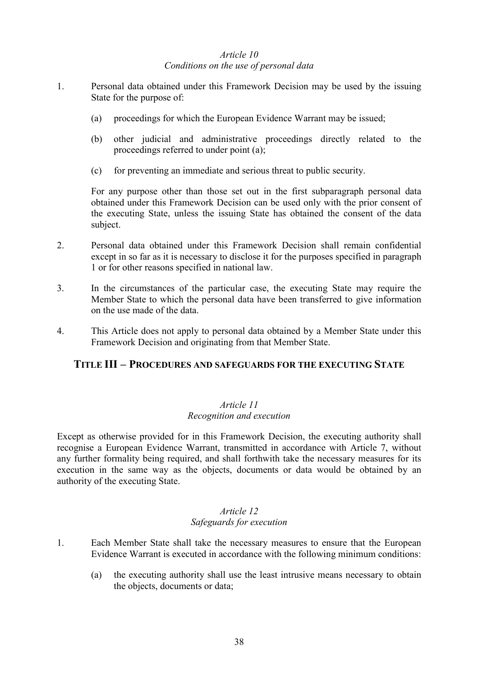## *Article 10 Conditions on the use of personal data*

- 1. Personal data obtained under this Framework Decision may be used by the issuing State for the purpose of:
	- (a) proceedings for which the European Evidence Warrant may be issued;
	- (b) other judicial and administrative proceedings directly related to the proceedings referred to under point (a);
	- (c) for preventing an immediate and serious threat to public security.

For any purpose other than those set out in the first subparagraph personal data obtained under this Framework Decision can be used only with the prior consent of the executing State, unless the issuing State has obtained the consent of the data subject.

- 2. Personal data obtained under this Framework Decision shall remain confidential except in so far as it is necessary to disclose it for the purposes specified in paragraph 1 or for other reasons specified in national law.
- 3. In the circumstances of the particular case, the executing State may require the Member State to which the personal data have been transferred to give information on the use made of the data.
- 4. This Article does not apply to personal data obtained by a Member State under this Framework Decision and originating from that Member State.

## **TITLE III – PROCEDURES AND SAFEGUARDS FOR THE EXECUTING STATE**

## *Article 11*

## *Recognition and execution*

Except as otherwise provided for in this Framework Decision, the executing authority shall recognise a European Evidence Warrant, transmitted in accordance with Article 7, without any further formality being required, and shall forthwith take the necessary measures for its execution in the same way as the objects, documents or data would be obtained by an authority of the executing State.

## *Article 12 Safeguards for execution*

- 1. Each Member State shall take the necessary measures to ensure that the European Evidence Warrant is executed in accordance with the following minimum conditions:
	- (a) the executing authority shall use the least intrusive means necessary to obtain the objects, documents or data;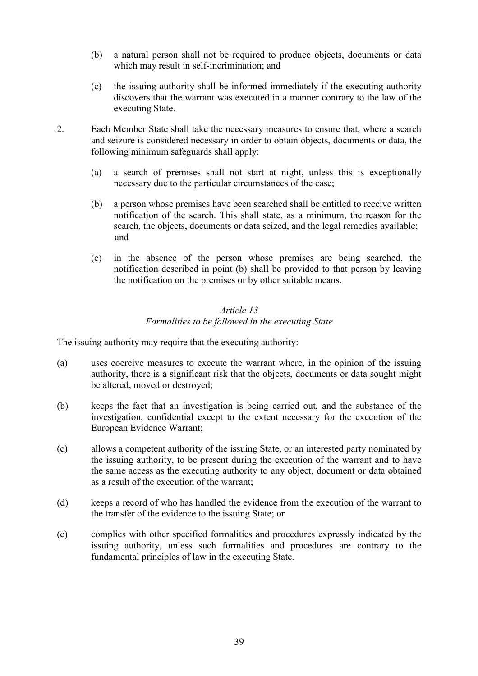- (b) a natural person shall not be required to produce objects, documents or data which may result in self-incrimination; and
- (c) the issuing authority shall be informed immediately if the executing authority discovers that the warrant was executed in a manner contrary to the law of the executing State.
- 2. Each Member State shall take the necessary measures to ensure that, where a search and seizure is considered necessary in order to obtain objects, documents or data, the following minimum safeguards shall apply:
	- (a) a search of premises shall not start at night, unless this is exceptionally necessary due to the particular circumstances of the case;
	- (b) a person whose premises have been searched shall be entitled to receive written notification of the search. This shall state, as a minimum, the reason for the search, the objects, documents or data seized, and the legal remedies available; and
	- (c) in the absence of the person whose premises are being searched, the notification described in point (b) shall be provided to that person by leaving the notification on the premises or by other suitable means.

## *Article 13 Formalities to be followed in the executing State*

The issuing authority may require that the executing authority:

- (a) uses coercive measures to execute the warrant where, in the opinion of the issuing authority, there is a significant risk that the objects, documents or data sought might be altered, moved or destroyed;
- (b) keeps the fact that an investigation is being carried out, and the substance of the investigation, confidential except to the extent necessary for the execution of the European Evidence Warrant;
- (c) allows a competent authority of the issuing State, or an interested party nominated by the issuing authority, to be present during the execution of the warrant and to have the same access as the executing authority to any object, document or data obtained as a result of the execution of the warrant;
- (d) keeps a record of who has handled the evidence from the execution of the warrant to the transfer of the evidence to the issuing State; or
- (e) complies with other specified formalities and procedures expressly indicated by the issuing authority, unless such formalities and procedures are contrary to the fundamental principles of law in the executing State.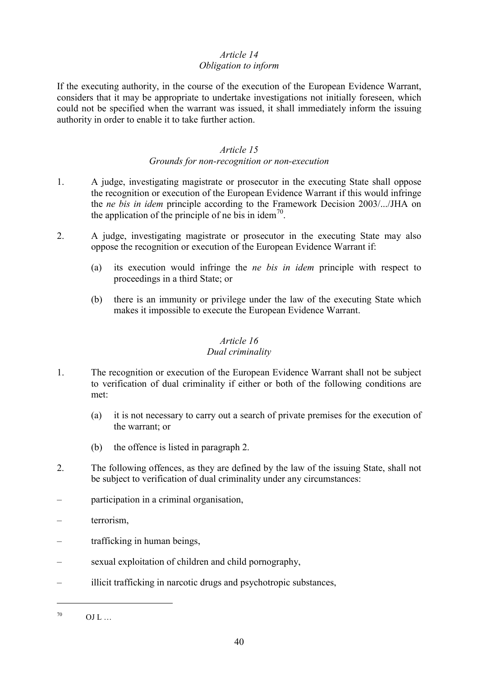#### *Article 14 Obligation to inform*

If the executing authority, in the course of the execution of the European Evidence Warrant, considers that it may be appropriate to undertake investigations not initially foreseen, which could not be specified when the warrant was issued, it shall immediately inform the issuing authority in order to enable it to take further action.

## *Article 15*

#### *Grounds for non-recognition or non-execution*

- 1. A judge, investigating magistrate or prosecutor in the executing State shall oppose the recognition or execution of the European Evidence Warrant if this would infringe the *ne bis in idem* principle according to the Framework Decision 2003/.../JHA on the application of the principle of ne bis in idem<sup>70</sup>.
- 2. A judge, investigating magistrate or prosecutor in the executing State may also oppose the recognition or execution of the European Evidence Warrant if:
	- (a) its execution would infringe the *ne bis in idem* principle with respect to proceedings in a third State; or
	- (b) there is an immunity or privilege under the law of the executing State which makes it impossible to execute the European Evidence Warrant.

# *Article 16*

## *Dual criminality*

- 1. The recognition or execution of the European Evidence Warrant shall not be subject to verification of dual criminality if either or both of the following conditions are met:
	- (a) it is not necessary to carry out a search of private premises for the execution of the warrant; or
	- (b) the offence is listed in paragraph 2.
- 2. The following offences, as they are defined by the law of the issuing State, shall not be subject to verification of dual criminality under any circumstances:
- participation in a criminal organisation,
- terrorism.
- trafficking in human beings,
- sexual exploitation of children and child pornography,
- illicit trafficking in narcotic drugs and psychotropic substances,

 $70$  OJ L ...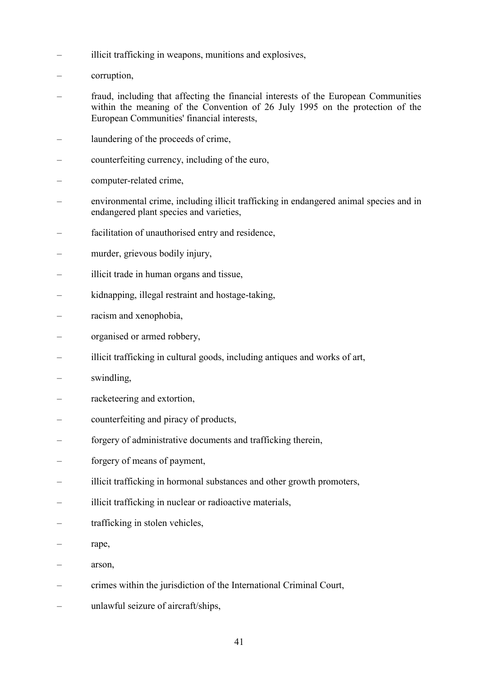- illicit trafficking in weapons, munitions and explosives,
- corruption,
- fraud, including that affecting the financial interests of the European Communities within the meaning of the Convention of 26 July 1995 on the protection of the European Communities' financial interests,
- laundering of the proceeds of crime,
- counterfeiting currency, including of the euro,
- computer-related crime,
- environmental crime, including illicit trafficking in endangered animal species and in endangered plant species and varieties,
- facilitation of unauthorised entry and residence,
- murder, grievous bodily injury,
- illicit trade in human organs and tissue,
- kidnapping, illegal restraint and hostage-taking,
- racism and xenophobia,
- organised or armed robbery,
- illicit trafficking in cultural goods, including antiques and works of art,
- swindling,
- racketeering and extortion,
- counterfeiting and piracy of products,
- forgery of administrative documents and trafficking therein,
- forgery of means of payment,
- illicit trafficking in hormonal substances and other growth promoters,
- illicit trafficking in nuclear or radioactive materials,
- trafficking in stolen vehicles,
- rape,
- arson,
- crimes within the jurisdiction of the International Criminal Court,
- unlawful seizure of aircraft/ships,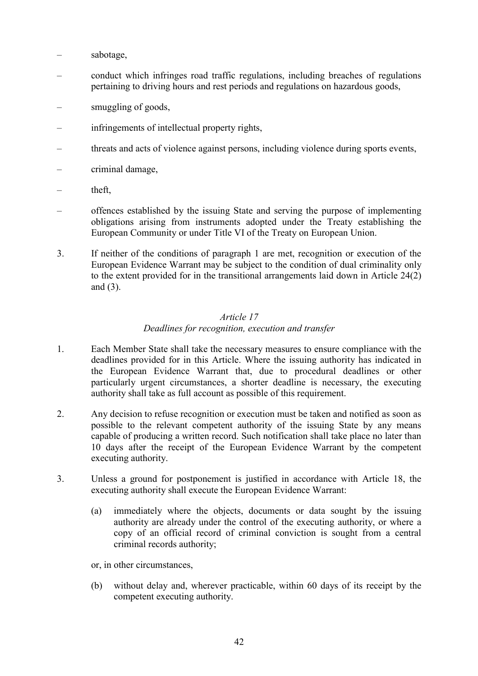- sabotage,
- conduct which infringes road traffic regulations, including breaches of regulations pertaining to driving hours and rest periods and regulations on hazardous goods,
- smuggling of goods.
- infringements of intellectual property rights,
- threats and acts of violence against persons, including violence during sports events,
- criminal damage,
- theft.
- offences established by the issuing State and serving the purpose of implementing obligations arising from instruments adopted under the Treaty establishing the European Community or under Title VI of the Treaty on European Union.
- 3. If neither of the conditions of paragraph 1 are met, recognition or execution of the European Evidence Warrant may be subject to the condition of dual criminality only to the extent provided for in the transitional arrangements laid down in Article 24(2) and (3).

## *Article 17*

## *Deadlines for recognition, execution and transfer*

- 1. Each Member State shall take the necessary measures to ensure compliance with the deadlines provided for in this Article. Where the issuing authority has indicated in the European Evidence Warrant that, due to procedural deadlines or other particularly urgent circumstances, a shorter deadline is necessary, the executing authority shall take as full account as possible of this requirement.
- 2. Any decision to refuse recognition or execution must be taken and notified as soon as possible to the relevant competent authority of the issuing State by any means capable of producing a written record. Such notification shall take place no later than 10 days after the receipt of the European Evidence Warrant by the competent executing authority.
- 3. Unless a ground for postponement is justified in accordance with Article 18, the executing authority shall execute the European Evidence Warrant:
	- (a) immediately where the objects, documents or data sought by the issuing authority are already under the control of the executing authority, or where a copy of an official record of criminal conviction is sought from a central criminal records authority;

or, in other circumstances,

(b) without delay and, wherever practicable, within 60 days of its receipt by the competent executing authority.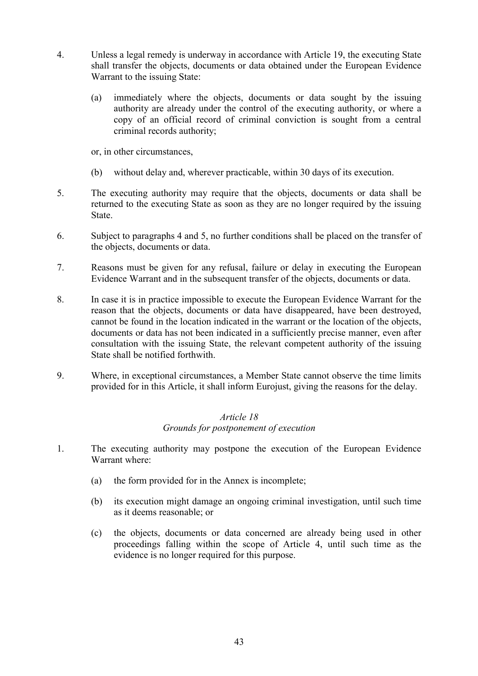- 4. Unless a legal remedy is underway in accordance with Article 19, the executing State shall transfer the objects, documents or data obtained under the European Evidence Warrant to the issuing State:
	- (a) immediately where the objects, documents or data sought by the issuing authority are already under the control of the executing authority, or where a copy of an official record of criminal conviction is sought from a central criminal records authority;

or, in other circumstances,

- (b) without delay and, wherever practicable, within 30 days of its execution.
- 5. The executing authority may require that the objects, documents or data shall be returned to the executing State as soon as they are no longer required by the issuing State.
- 6. Subject to paragraphs 4 and 5, no further conditions shall be placed on the transfer of the objects, documents or data.
- 7. Reasons must be given for any refusal, failure or delay in executing the European Evidence Warrant and in the subsequent transfer of the objects, documents or data.
- 8. In case it is in practice impossible to execute the European Evidence Warrant for the reason that the objects, documents or data have disappeared, have been destroyed, cannot be found in the location indicated in the warrant or the location of the objects, documents or data has not been indicated in a sufficiently precise manner, even after consultation with the issuing State, the relevant competent authority of the issuing State shall be notified forthwith.
- 9. Where, in exceptional circumstances, a Member State cannot observe the time limits provided for in this Article, it shall inform Eurojust, giving the reasons for the delay.

## *Article 18 Grounds for postponement of execution*

- 1. The executing authority may postpone the execution of the European Evidence Warrant where:
	- (a) the form provided for in the Annex is incomplete;
	- (b) its execution might damage an ongoing criminal investigation, until such time as it deems reasonable; or
	- (c) the objects, documents or data concerned are already being used in other proceedings falling within the scope of Article 4, until such time as the evidence is no longer required for this purpose.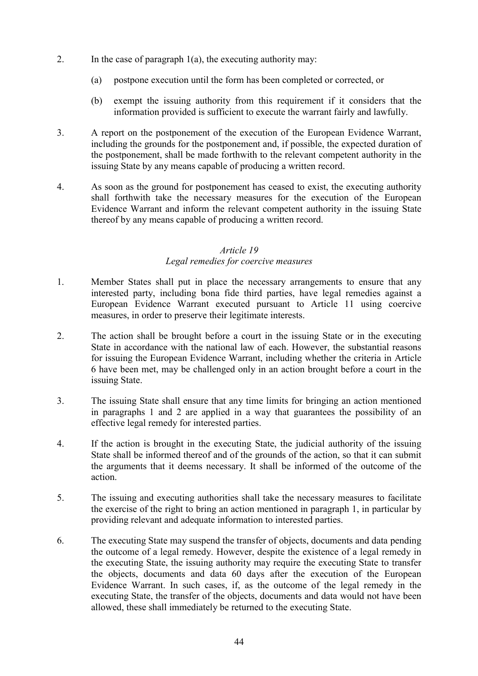- 2. In the case of paragraph  $1(a)$ , the executing authority may:
	- (a) postpone execution until the form has been completed or corrected, or
	- (b) exempt the issuing authority from this requirement if it considers that the information provided is sufficient to execute the warrant fairly and lawfully.
- 3. A report on the postponement of the execution of the European Evidence Warrant, including the grounds for the postponement and, if possible, the expected duration of the postponement, shall be made forthwith to the relevant competent authority in the issuing State by any means capable of producing a written record.
- 4. As soon as the ground for postponement has ceased to exist, the executing authority shall forthwith take the necessary measures for the execution of the European Evidence Warrant and inform the relevant competent authority in the issuing State thereof by any means capable of producing a written record.

## *Article 19 Legal remedies for coercive measures*

- 1. Member States shall put in place the necessary arrangements to ensure that any interested party, including bona fide third parties, have legal remedies against a European Evidence Warrant executed pursuant to Article 11 using coercive measures, in order to preserve their legitimate interests.
- 2. The action shall be brought before a court in the issuing State or in the executing State in accordance with the national law of each. However, the substantial reasons for issuing the European Evidence Warrant, including whether the criteria in Article 6 have been met, may be challenged only in an action brought before a court in the issuing State.
- 3. The issuing State shall ensure that any time limits for bringing an action mentioned in paragraphs 1 and 2 are applied in a way that guarantees the possibility of an effective legal remedy for interested parties.
- 4. If the action is brought in the executing State, the judicial authority of the issuing State shall be informed thereof and of the grounds of the action, so that it can submit the arguments that it deems necessary. It shall be informed of the outcome of the action.
- 5. The issuing and executing authorities shall take the necessary measures to facilitate the exercise of the right to bring an action mentioned in paragraph 1, in particular by providing relevant and adequate information to interested parties.
- 6. The executing State may suspend the transfer of objects, documents and data pending the outcome of a legal remedy. However, despite the existence of a legal remedy in the executing State, the issuing authority may require the executing State to transfer the objects, documents and data 60 days after the execution of the European Evidence Warrant. In such cases, if, as the outcome of the legal remedy in the executing State, the transfer of the objects, documents and data would not have been allowed, these shall immediately be returned to the executing State.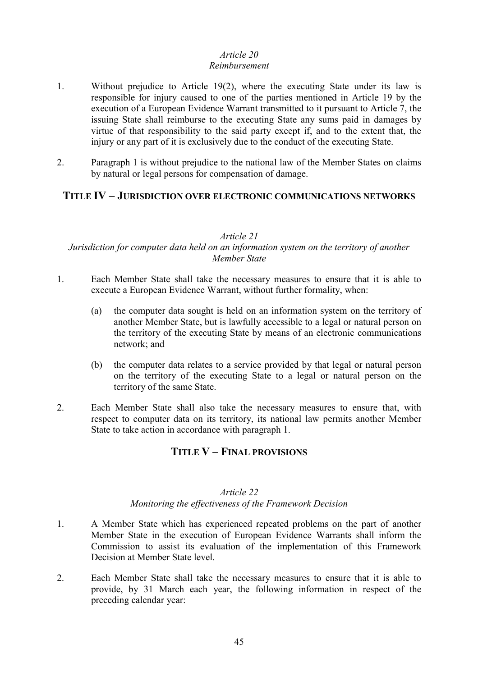#### *Article 20 Reimbursement*

- 1. Without prejudice to Article 19(2), where the executing State under its law is responsible for injury caused to one of the parties mentioned in Article 19 by the execution of a European Evidence Warrant transmitted to it pursuant to Article 7, the issuing State shall reimburse to the executing State any sums paid in damages by virtue of that responsibility to the said party except if, and to the extent that, the injury or any part of it is exclusively due to the conduct of the executing State.
- 2. Paragraph 1 is without prejudice to the national law of the Member States on claims by natural or legal persons for compensation of damage.

## **TITLE IV – JURISDICTION OVER ELECTRONIC COMMUNICATIONS NETWORKS**

#### *Article 21*

## *Jurisdiction for computer data held on an information system on the territory of another Member State*

- 1. Each Member State shall take the necessary measures to ensure that it is able to execute a European Evidence Warrant, without further formality, when:
	- (a) the computer data sought is held on an information system on the territory of another Member State, but is lawfully accessible to a legal or natural person on the territory of the executing State by means of an electronic communications network; and
	- (b) the computer data relates to a service provided by that legal or natural person on the territory of the executing State to a legal or natural person on the territory of the same State.
- 2. Each Member State shall also take the necessary measures to ensure that, with respect to computer data on its territory, its national law permits another Member State to take action in accordance with paragraph 1.

## **TITLE V – FINAL PROVISIONS**

## *Article 22*

#### *Monitoring the effectiveness of the Framework Decision*

- 1. A Member State which has experienced repeated problems on the part of another Member State in the execution of European Evidence Warrants shall inform the Commission to assist its evaluation of the implementation of this Framework Decision at Member State level.
- 2. Each Member State shall take the necessary measures to ensure that it is able to provide, by 31 March each year, the following information in respect of the preceding calendar year: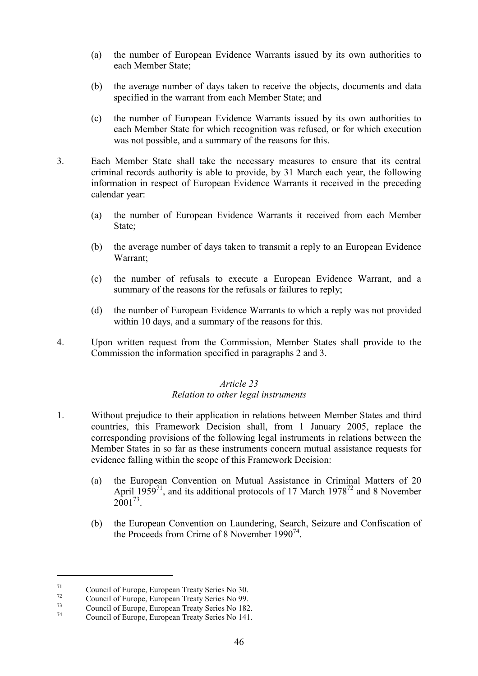- (a) the number of European Evidence Warrants issued by its own authorities to each Member State;
- (b) the average number of days taken to receive the objects, documents and data specified in the warrant from each Member State; and
- (c) the number of European Evidence Warrants issued by its own authorities to each Member State for which recognition was refused, or for which execution was not possible, and a summary of the reasons for this.
- 3. Each Member State shall take the necessary measures to ensure that its central criminal records authority is able to provide, by 31 March each year, the following information in respect of European Evidence Warrants it received in the preceding calendar year:
	- (a) the number of European Evidence Warrants it received from each Member State;
	- (b) the average number of days taken to transmit a reply to an European Evidence Warrant;
	- (c) the number of refusals to execute a European Evidence Warrant, and a summary of the reasons for the refusals or failures to reply;
	- (d) the number of European Evidence Warrants to which a reply was not provided within 10 days, and a summary of the reasons for this.
- 4. Upon written request from the Commission, Member States shall provide to the Commission the information specified in paragraphs 2 and 3.

#### *Article 23 Relation to other legal instruments*

- 1. Without prejudice to their application in relations between Member States and third countries, this Framework Decision shall, from 1 January 2005, replace the corresponding provisions of the following legal instruments in relations between the Member States in so far as these instruments concern mutual assistance requests for evidence falling within the scope of this Framework Decision:
	- (a) the European Convention on Mutual Assistance in Criminal Matters of 20 April  $1959^{71}$ , and its additional protocols of 17 March  $1978^{72}$  and 8 November  $2001^{73}$
	- (b) the European Convention on Laundering, Search, Seizure and Confiscation of the Proceeds from Crime of 8 November  $1990^{74}$ .

<sup>&</sup>lt;sup>71</sup><br>Council of Europe, European Treaty Series No 30.<br>Council of Europe, European Treaty Series No 182.<br>Council of Europe, European Treaty Series No 141.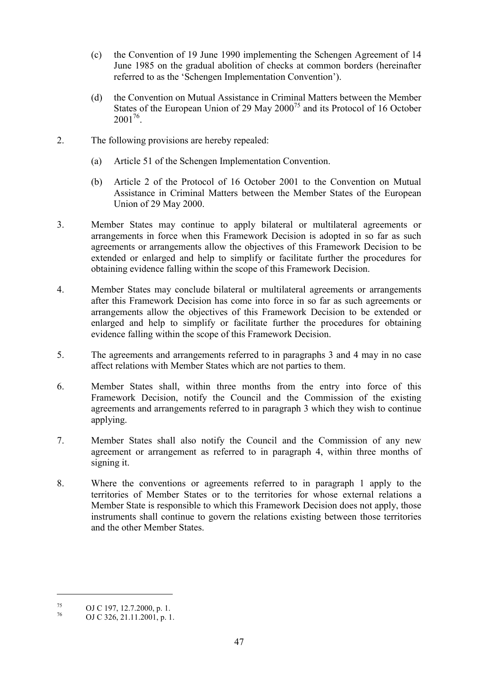- (c) the Convention of 19 June 1990 implementing the Schengen Agreement of 14 June 1985 on the gradual abolition of checks at common borders (hereinafter referred to as the 'Schengen Implementation Convention').
- (d) the Convention on Mutual Assistance in Criminal Matters between the Member States of the European Union of 29 May 2000<sup>75</sup> and its Protocol of 16 October  $2001^{76}$ .
- 2. The following provisions are hereby repealed:
	- (a) Article 51 of the Schengen Implementation Convention.
	- (b) Article 2 of the Protocol of 16 October 2001 to the Convention on Mutual Assistance in Criminal Matters between the Member States of the European Union of 29 May 2000.
- 3. Member States may continue to apply bilateral or multilateral agreements or arrangements in force when this Framework Decision is adopted in so far as such agreements or arrangements allow the objectives of this Framework Decision to be extended or enlarged and help to simplify or facilitate further the procedures for obtaining evidence falling within the scope of this Framework Decision.
- 4. Member States may conclude bilateral or multilateral agreements or arrangements after this Framework Decision has come into force in so far as such agreements or arrangements allow the objectives of this Framework Decision to be extended or enlarged and help to simplify or facilitate further the procedures for obtaining evidence falling within the scope of this Framework Decision.
- 5. The agreements and arrangements referred to in paragraphs 3 and 4 may in no case affect relations with Member States which are not parties to them.
- 6. Member States shall, within three months from the entry into force of this Framework Decision, notify the Council and the Commission of the existing agreements and arrangements referred to in paragraph 3 which they wish to continue applying.
- 7. Member States shall also notify the Council and the Commission of any new agreement or arrangement as referred to in paragraph 4, within three months of signing it.
- 8. Where the conventions or agreements referred to in paragraph 1 apply to the territories of Member States or to the territories for whose external relations a Member State is responsible to which this Framework Decision does not apply, those instruments shall continue to govern the relations existing between those territories and the other Member States.

 $^{75}$  OJ C 197, 12.7.2000, p. 1.<br>
OJ C 326, 21.11.2001, p. 1.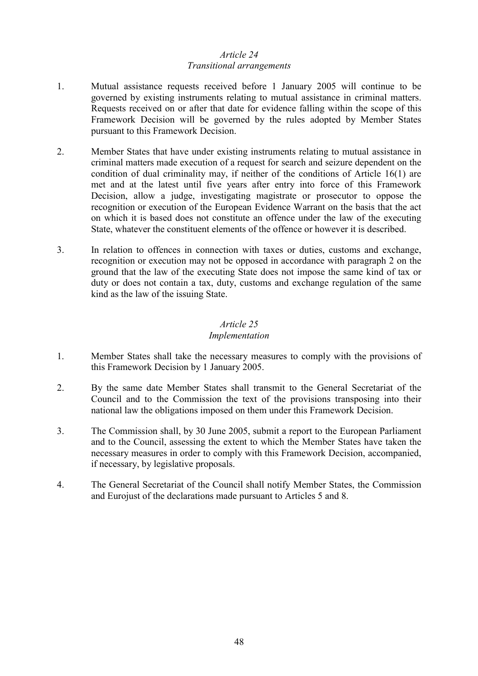## *Article 24 Transitional arrangements*

- 1. Mutual assistance requests received before 1 January 2005 will continue to be governed by existing instruments relating to mutual assistance in criminal matters. Requests received on or after that date for evidence falling within the scope of this Framework Decision will be governed by the rules adopted by Member States pursuant to this Framework Decision.
- 2. Member States that have under existing instruments relating to mutual assistance in criminal matters made execution of a request for search and seizure dependent on the condition of dual criminality may, if neither of the conditions of Article 16(1) are met and at the latest until five years after entry into force of this Framework Decision, allow a judge, investigating magistrate or prosecutor to oppose the recognition or execution of the European Evidence Warrant on the basis that the act on which it is based does not constitute an offence under the law of the executing State, whatever the constituent elements of the offence or however it is described.
- 3. In relation to offences in connection with taxes or duties, customs and exchange, recognition or execution may not be opposed in accordance with paragraph 2 on the ground that the law of the executing State does not impose the same kind of tax or duty or does not contain a tax, duty, customs and exchange regulation of the same kind as the law of the issuing State.

## *Article 25*

#### *Implementation*

- 1. Member States shall take the necessary measures to comply with the provisions of this Framework Decision by 1 January 2005.
- 2. By the same date Member States shall transmit to the General Secretariat of the Council and to the Commission the text of the provisions transposing into their national law the obligations imposed on them under this Framework Decision.
- 3. The Commission shall, by 30 June 2005, submit a report to the European Parliament and to the Council, assessing the extent to which the Member States have taken the necessary measures in order to comply with this Framework Decision, accompanied, if necessary, by legislative proposals.
- 4. The General Secretariat of the Council shall notify Member States, the Commission and Eurojust of the declarations made pursuant to Articles 5 and 8.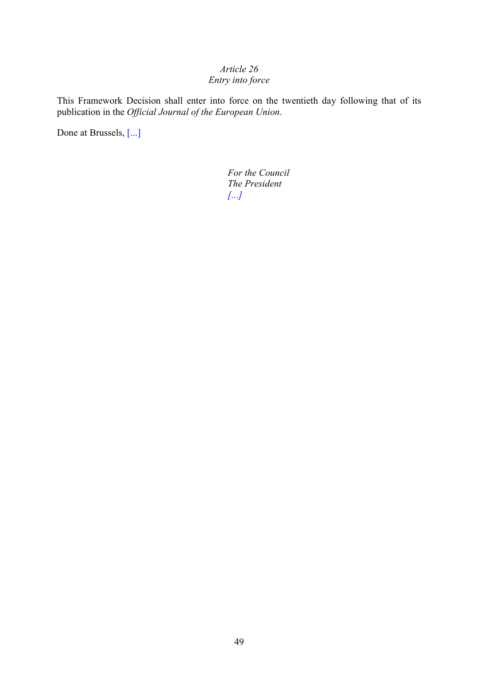## *Article 26 Entry into force*

This Framework Decision shall enter into force on the twentieth day following that of its publication in the *Official Journal of the European Union*.

Done at Brussels, [...]

| For the Council |
|-----------------|
| The President   |
|                 |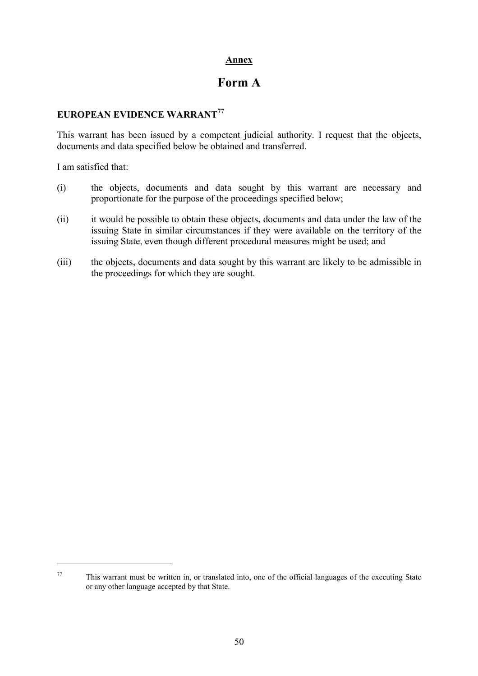## **Annex**

# **Form A**

## **EUROPEAN EVIDENCE WARRANT<sup>77</sup>**

This warrant has been issued by a competent judicial authority. I request that the objects, documents and data specified below be obtained and transferred.

I am satisfied that:

- (i) the objects, documents and data sought by this warrant are necessary and proportionate for the purpose of the proceedings specified below;
- (ii) it would be possible to obtain these objects, documents and data under the law of the issuing State in similar circumstances if they were available on the territory of the issuing State, even though different procedural measures might be used; and
- (iii) the objects, documents and data sought by this warrant are likely to be admissible in the proceedings for which they are sought.

 $77$  This warrant must be written in, or translated into, one of the official languages of the executing State or any other language accepted by that State.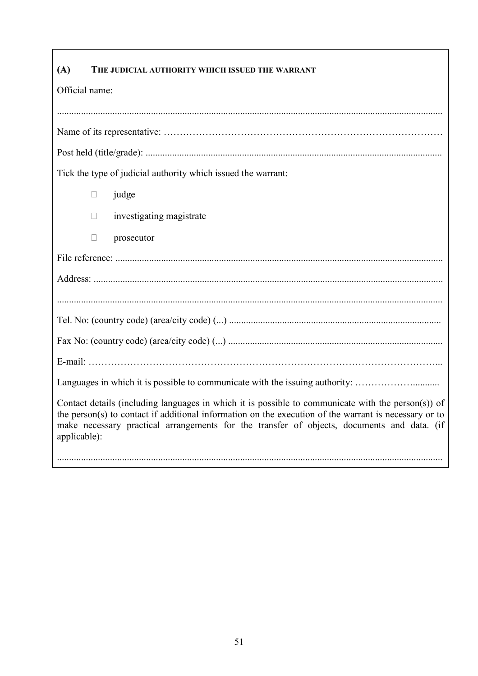# **(A) THE JUDICIAL AUTHORITY WHICH ISSUED THE WARRANT**

Official name:

|              | Tick the type of judicial authority which issued the warrant:                                                                                                                                                                                                                                             |
|--------------|-----------------------------------------------------------------------------------------------------------------------------------------------------------------------------------------------------------------------------------------------------------------------------------------------------------|
| $\Box$       | judge                                                                                                                                                                                                                                                                                                     |
| $\Box$       | investigating magistrate                                                                                                                                                                                                                                                                                  |
| $\Box$       | prosecutor                                                                                                                                                                                                                                                                                                |
|              |                                                                                                                                                                                                                                                                                                           |
|              |                                                                                                                                                                                                                                                                                                           |
|              |                                                                                                                                                                                                                                                                                                           |
|              |                                                                                                                                                                                                                                                                                                           |
|              |                                                                                                                                                                                                                                                                                                           |
|              |                                                                                                                                                                                                                                                                                                           |
|              | Languages in which it is possible to communicate with the issuing authority:                                                                                                                                                                                                                              |
| applicable): | Contact details (including languages in which it is possible to communicate with the person(s)) of<br>the person(s) to contact if additional information on the execution of the warrant is necessary or to<br>make necessary practical arrangements for the transfer of objects, documents and data. (if |
|              |                                                                                                                                                                                                                                                                                                           |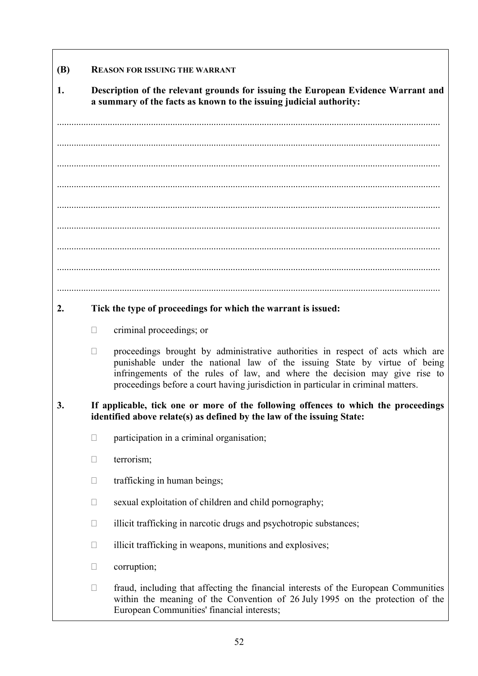## **(B) REASON FOR ISSUING THE WARRANT**

## **1. Description of the relevant grounds for issuing the European Evidence Warrant and a summary of the facts as known to the issuing judicial authority:**

...............................................................................................................................................................

............................................................................................................................................................... ............................................................................................................................................................... ............................................................................................................................................................... ............................................................................................................................................................... ............................................................................................................................................................... ............................................................................................................................................................... ...............................................................................................................................................................

## **2. Tick the type of proceedings for which the warrant is issued:**

- $\Box$  criminal proceedings; or
- $\Box$  proceedings brought by administrative authorities in respect of acts which are punishable under the national law of the issuing State by virtue of being infringements of the rules of law, and where the decision may give rise to proceedings before a court having jurisdiction in particular in criminal matters.

## **3. If applicable, tick one or more of the following offences to which the proceedings identified above relate(s) as defined by the law of the issuing State:**

- $\Box$  participation in a criminal organisation;
- **terrorism**;
- $\Box$  trafficking in human beings;
- $\Box$  sexual exploitation of children and child pornography;
- $\Box$  illicit trafficking in narcotic drugs and psychotropic substances;
- $\Box$  illicit trafficking in weapons, munitions and explosives;
- **corruption**;
- $\Box$  fraud, including that affecting the financial interests of the European Communities within the meaning of the Convention of 26 July 1995 on the protection of the European Communities' financial interests;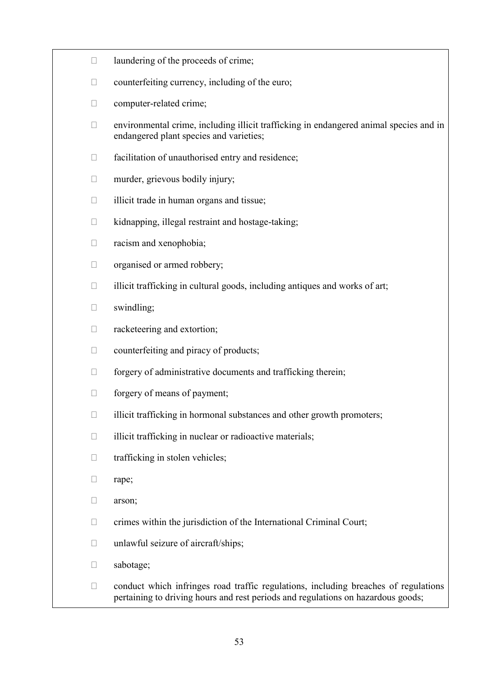|              | laundering of the proceeds of crime; |  |  |
|--------------|--------------------------------------|--|--|
|              |                                      |  |  |
| $\mathbf{1}$ |                                      |  |  |
|              |                                      |  |  |

- $\Box$  counterfeiting currency, including of the euro;
- computer-related crime;
- $\Box$  environmental crime, including illicit trafficking in endangered animal species and in endangered plant species and varieties;
- $\Box$  facilitation of unauthorised entry and residence;
- $\Box$  murder, grievous bodily injury;
- $\Box$  illicit trade in human organs and tissue;
- $\Box$  kidnapping, illegal restraint and hostage-taking;
- $\Box$  racism and xenophobia;
- □ organised or armed robbery;
- $\Box$  illicit trafficking in cultural goods, including antiques and works of art;
- $\Box$  swindling;
- □ racketeering and extortion;
- $\Box$  counterfeiting and piracy of products;
- $\Box$  forgery of administrative documents and trafficking therein;
- $\Box$  forgery of means of payment;
- $\Box$  illicit trafficking in hormonal substances and other growth promoters;
- $\Box$  illicit trafficking in nuclear or radioactive materials;
- $\Box$  trafficking in stolen vehicles;
- □ rape;
- arson;
- $\Box$  crimes within the jurisdiction of the International Criminal Court;
- $\Box$  unlawful seizure of aircraft/ships;
- □ sabotage;
- $\Box$  conduct which infringes road traffic regulations, including breaches of regulations pertaining to driving hours and rest periods and regulations on hazardous goods;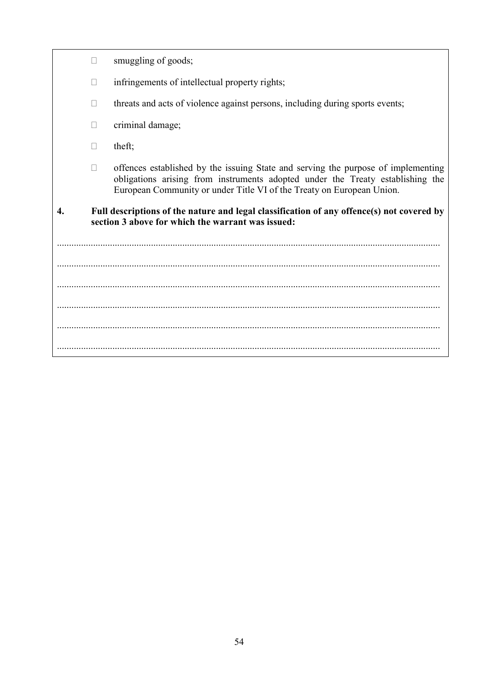|    | П            | smuggling of goods;                                                                                                                                                                                                                          |
|----|--------------|----------------------------------------------------------------------------------------------------------------------------------------------------------------------------------------------------------------------------------------------|
|    | П            | infringements of intellectual property rights;                                                                                                                                                                                               |
|    | $\mathbf{L}$ | threats and acts of violence against persons, including during sports events;                                                                                                                                                                |
|    | П            | criminal damage;                                                                                                                                                                                                                             |
|    | П            | theft;                                                                                                                                                                                                                                       |
|    | П            | offences established by the issuing State and serving the purpose of implementing<br>obligations arising from instruments adopted under the Treaty establishing the<br>European Community or under Title VI of the Treaty on European Union. |
| 4. |              | Full descriptions of the nature and legal classification of any offence(s) not covered by                                                                                                                                                    |
|    |              | section 3 above for which the warrant was issued:                                                                                                                                                                                            |
|    |              |                                                                                                                                                                                                                                              |
|    |              |                                                                                                                                                                                                                                              |
|    |              |                                                                                                                                                                                                                                              |
|    |              |                                                                                                                                                                                                                                              |
|    |              |                                                                                                                                                                                                                                              |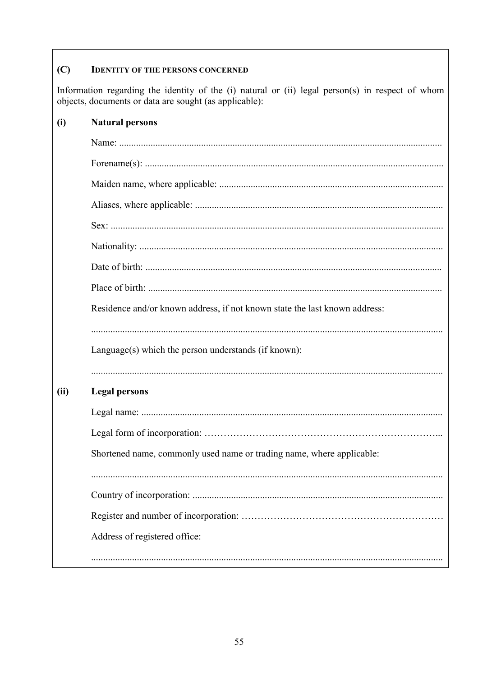#### $(C)$ **IDENTITY OF THE PERSONS CONCERNED**

Information regarding the identity of the (i) natural or (ii) legal person(s) in respect of whom objects, documents or data are sought (as applicable):

| (i)  | <b>Natural persons</b>                                                     |
|------|----------------------------------------------------------------------------|
|      |                                                                            |
|      |                                                                            |
|      |                                                                            |
|      |                                                                            |
|      |                                                                            |
|      |                                                                            |
|      |                                                                            |
|      |                                                                            |
|      | Residence and/or known address, if not known state the last known address: |
|      |                                                                            |
|      | Language(s) which the person understands (if known):                       |
| (ii) | <b>Legal persons</b>                                                       |
|      |                                                                            |
|      |                                                                            |
|      | Shortened name, commonly used name or trading name, where applicable:      |
|      |                                                                            |
|      |                                                                            |
|      | Address of registered office:                                              |
|      |                                                                            |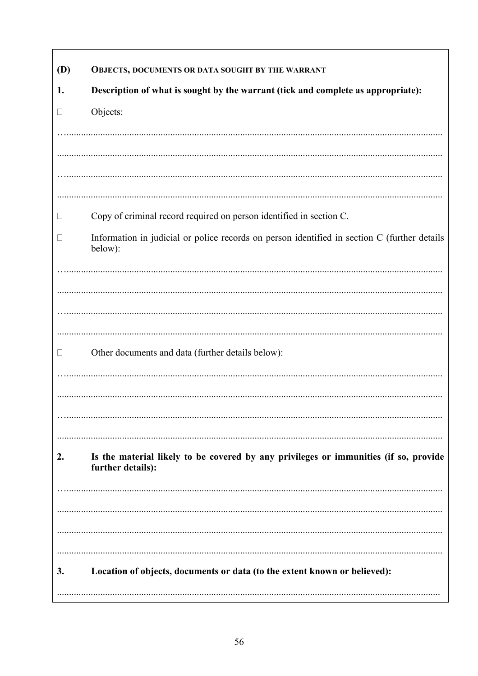| <b>(D)</b> | OBJECTS, DOCUMENTS OR DATA SOUGHT BY THE WARRANT                                                          |
|------------|-----------------------------------------------------------------------------------------------------------|
| 1.         | Description of what is sought by the warrant (tick and complete as appropriate):                          |
| $\Box$     | Objects:                                                                                                  |
|            |                                                                                                           |
|            |                                                                                                           |
|            |                                                                                                           |
|            |                                                                                                           |
| Ш          | Copy of criminal record required on person identified in section C.                                       |
|            | Information in judicial or police records on person identified in section C (further details<br>below):   |
|            |                                                                                                           |
|            |                                                                                                           |
|            |                                                                                                           |
|            |                                                                                                           |
| $\Box$     | Other documents and data (further details below):                                                         |
|            |                                                                                                           |
|            |                                                                                                           |
|            |                                                                                                           |
|            |                                                                                                           |
| 2.         | Is the material likely to be covered by any privileges or immunities (if so, provide<br>further details): |
|            |                                                                                                           |
|            |                                                                                                           |
|            |                                                                                                           |
|            |                                                                                                           |
| 3.         | Location of objects, documents or data (to the extent known or believed):                                 |
|            |                                                                                                           |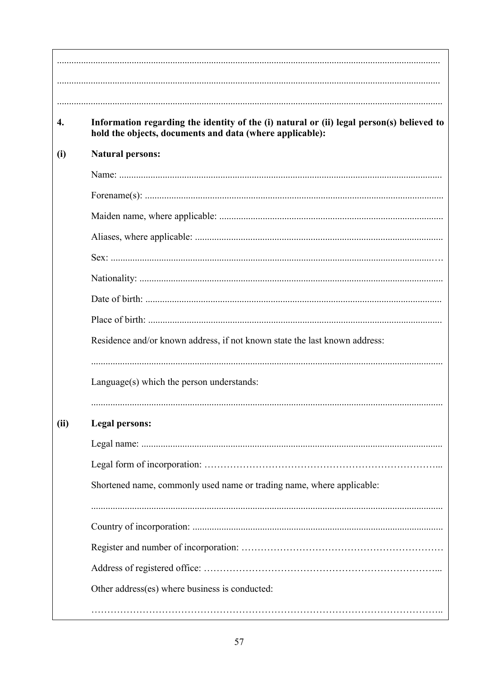| 4.   | Information regarding the identity of the (i) natural or (ii) legal person(s) believed to<br>hold the objects, documents and data (where applicable): |
|------|-------------------------------------------------------------------------------------------------------------------------------------------------------|
| (i)  | <b>Natural persons:</b>                                                                                                                               |
|      |                                                                                                                                                       |
|      |                                                                                                                                                       |
|      |                                                                                                                                                       |
|      |                                                                                                                                                       |
|      |                                                                                                                                                       |
|      |                                                                                                                                                       |
|      |                                                                                                                                                       |
|      |                                                                                                                                                       |
|      | Residence and/or known address, if not known state the last known address:                                                                            |
|      | Language(s) which the person understands:                                                                                                             |
| (ii) | <b>Legal persons:</b>                                                                                                                                 |
|      |                                                                                                                                                       |
|      |                                                                                                                                                       |
|      | Shortened name, commonly used name or trading name, where applicable:                                                                                 |
|      |                                                                                                                                                       |
|      |                                                                                                                                                       |
|      |                                                                                                                                                       |
|      |                                                                                                                                                       |
|      | Other address(es) where business is conducted:                                                                                                        |
|      |                                                                                                                                                       |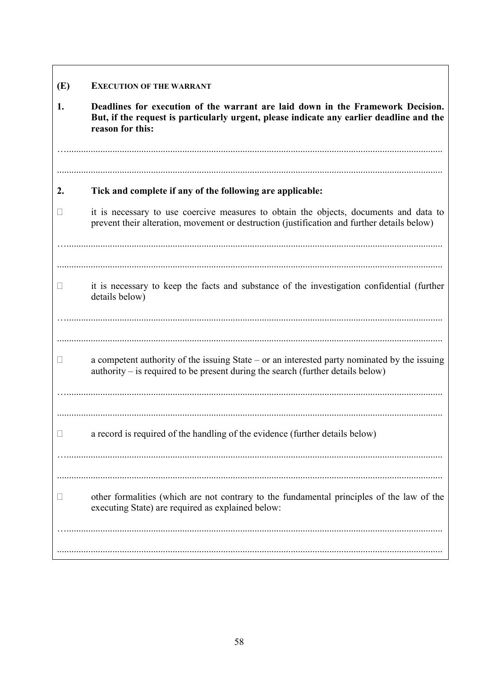| (E)              | <b>EXECUTION OF THE WARRANT</b>                                                                                                                                                                 |
|------------------|-------------------------------------------------------------------------------------------------------------------------------------------------------------------------------------------------|
| 1.               | Deadlines for execution of the warrant are laid down in the Framework Decision.<br>But, if the request is particularly urgent, please indicate any earlier deadline and the<br>reason for this: |
| $\overline{2}$ . | Tick and complete if any of the following are applicable:                                                                                                                                       |
| $\Box$           | it is necessary to use coercive measures to obtain the objects, documents and data to<br>prevent their alteration, movement or destruction (justification and further details below)            |
| $\Box$           | it is necessary to keep the facts and substance of the investigation confidential (further<br>details below)                                                                                    |
|                  | a competent authority of the issuing State – or an interested party nominated by the issuing<br>$\alpha$ authority – is required to be present during the search (further details below)        |
|                  | a record is required of the handling of the evidence (further details below)                                                                                                                    |
|                  | other formalities (which are not contrary to the fundamental principles of the law of the<br>executing State) are required as explained below:                                                  |
|                  |                                                                                                                                                                                                 |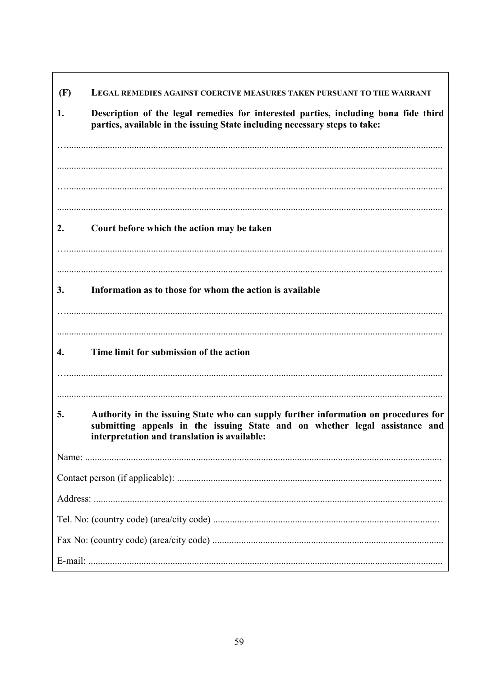| (F)              | LEGAL REMEDIES AGAINST COERCIVE MEASURES TAKEN PURSUANT TO THE WARRANT                                                                                                                                             |
|------------------|--------------------------------------------------------------------------------------------------------------------------------------------------------------------------------------------------------------------|
| 1.               | Description of the legal remedies for interested parties, including bona fide third<br>parties, available in the issuing State including necessary steps to take:                                                  |
|                  |                                                                                                                                                                                                                    |
|                  |                                                                                                                                                                                                                    |
| $\overline{2}$ . | Court before which the action may be taken                                                                                                                                                                         |
|                  |                                                                                                                                                                                                                    |
| 3.               | Information as to those for whom the action is available                                                                                                                                                           |
| 4.               | Time limit for submission of the action                                                                                                                                                                            |
| 5.               | Authority in the issuing State who can supply further information on procedures for<br>submitting appeals in the issuing State and on whether legal assistance and<br>interpretation and translation is available: |
|                  |                                                                                                                                                                                                                    |
|                  |                                                                                                                                                                                                                    |
|                  |                                                                                                                                                                                                                    |
|                  |                                                                                                                                                                                                                    |
|                  |                                                                                                                                                                                                                    |
|                  |                                                                                                                                                                                                                    |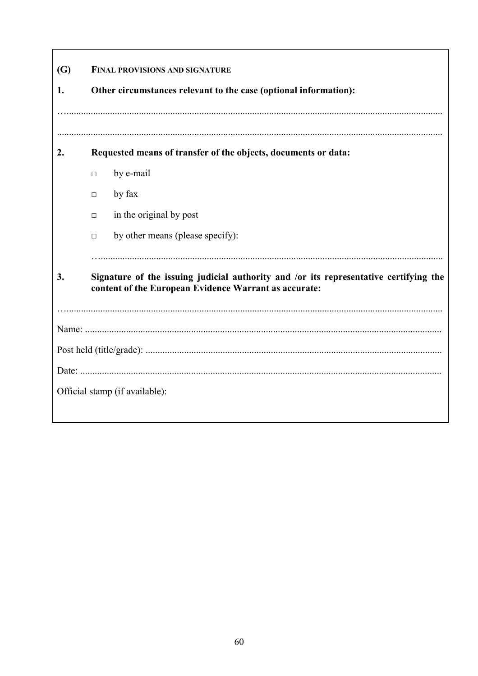| Signature of the issuing judicial authority and /or its representative certifying the |
|---------------------------------------------------------------------------------------|
|                                                                                       |
|                                                                                       |
|                                                                                       |
|                                                                                       |
|                                                                                       |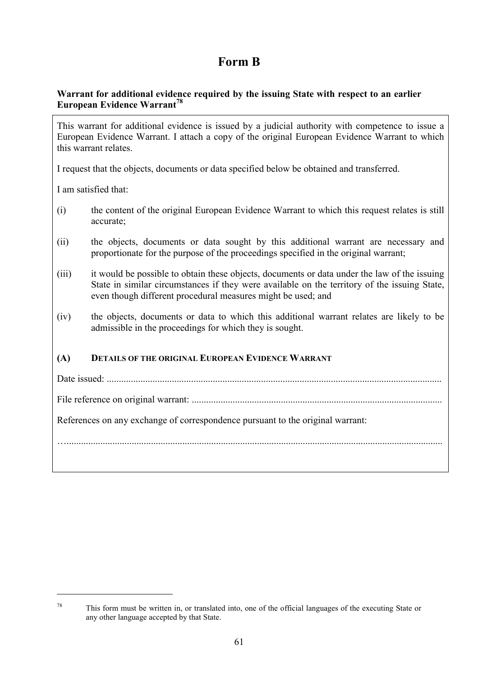# **Form B**

## **Warrant for additional evidence required by the issuing State with respect to an earlier European Evidence Warrant<sup>78</sup>**

This warrant for additional evidence is issued by a judicial authority with competence to issue a European Evidence Warrant. I attach a copy of the original European Evidence Warrant to which this warrant relates.

I request that the objects, documents or data specified below be obtained and transferred.

I am satisfied that:

 $\overline{a}$ 

- (i) the content of the original European Evidence Warrant to which this request relates is still accurate;
- (ii) the objects, documents or data sought by this additional warrant are necessary and proportionate for the purpose of the proceedings specified in the original warrant;
- (iii) it would be possible to obtain these objects, documents or data under the law of the issuing State in similar circumstances if they were available on the territory of the issuing State, even though different procedural measures might be used; and
- (iv) the objects, documents or data to which this additional warrant relates are likely to be admissible in the proceedings for which they is sought.

## **(A) DETAILS OF THE ORIGINAL EUROPEAN EVIDENCE WARRANT**

Date issued: ...........................................................................................................................................

File reference on original warrant: ........................................................................................................

References on any exchange of correspondence pursuant to the original warrant:

<sup>78</sup> This form must be written in, or translated into, one of the official languages of the executing State or any other language accepted by that State.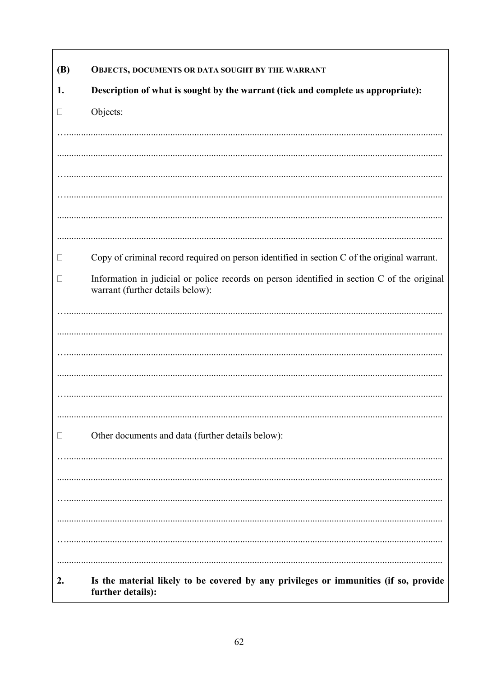| <b>(B)</b> | OBJECTS, DOCUMENTS OR DATA SOUGHT BY THE WARRANT                                                                                |
|------------|---------------------------------------------------------------------------------------------------------------------------------|
| 1.         | Description of what is sought by the warrant (tick and complete as appropriate):                                                |
| ⊔          | Objects:                                                                                                                        |
|            |                                                                                                                                 |
|            |                                                                                                                                 |
|            |                                                                                                                                 |
|            |                                                                                                                                 |
|            |                                                                                                                                 |
|            |                                                                                                                                 |
| □          | Copy of criminal record required on person identified in section C of the original warrant.                                     |
| $\Box$     | Information in judicial or police records on person identified in section C of the original<br>warrant (further details below): |
|            |                                                                                                                                 |
|            |                                                                                                                                 |
|            |                                                                                                                                 |
|            |                                                                                                                                 |
|            |                                                                                                                                 |
| □          | Other documents and data (further details below):                                                                               |
|            |                                                                                                                                 |
|            |                                                                                                                                 |
|            |                                                                                                                                 |
|            |                                                                                                                                 |
|            |                                                                                                                                 |
|            |                                                                                                                                 |
| 2.         | Is the material likely to be covered by any privileges or immunities (if so, provide<br>further details):                       |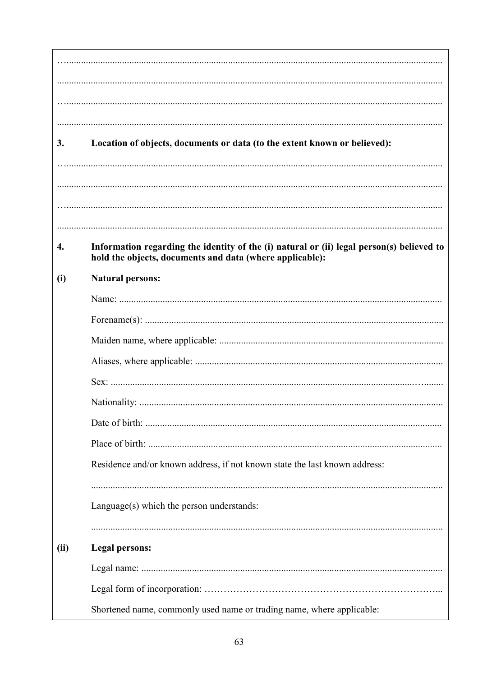| 3.   | Location of objects, documents or data (to the extent known or believed):                                                                             |
|------|-------------------------------------------------------------------------------------------------------------------------------------------------------|
|      |                                                                                                                                                       |
|      |                                                                                                                                                       |
| 4.   | Information regarding the identity of the (i) natural or (ii) legal person(s) believed to<br>hold the objects, documents and data (where applicable): |
| (i)  | <b>Natural persons:</b>                                                                                                                               |
|      |                                                                                                                                                       |
|      |                                                                                                                                                       |
|      |                                                                                                                                                       |
|      |                                                                                                                                                       |
|      |                                                                                                                                                       |
|      |                                                                                                                                                       |
|      |                                                                                                                                                       |
|      |                                                                                                                                                       |
|      | Residence and/or known address, if not known state the last known address:                                                                            |
|      | Language(s) which the person understands:                                                                                                             |
| (ii) | <b>Legal persons:</b>                                                                                                                                 |
|      |                                                                                                                                                       |
|      |                                                                                                                                                       |
|      | Shortened name, commonly used name or trading name, where applicable:                                                                                 |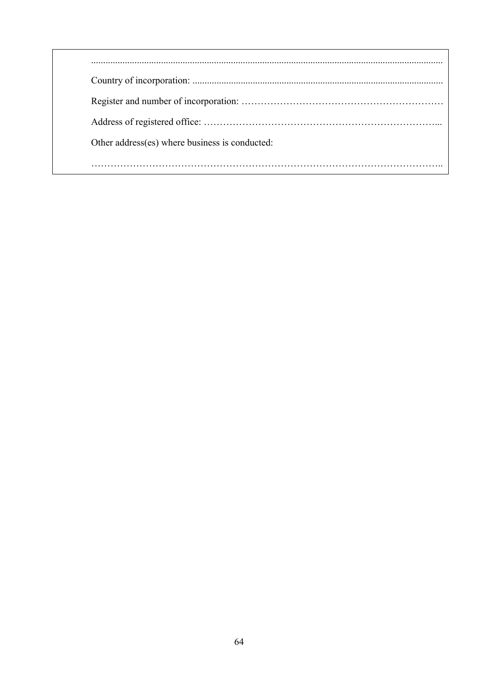| Other address(es) where business is conducted: |
|------------------------------------------------|
|                                                |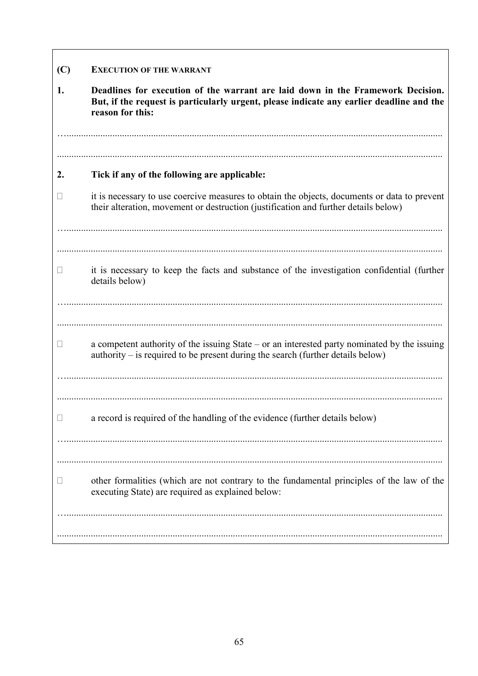| (C)<br>1. | <b>EXECUTION OF THE WARRANT</b><br>Deadlines for execution of the warrant are laid down in the Framework Decision.<br>But, if the request is particularly urgent, please indicate any earlier deadline and the<br>reason for this: |
|-----------|------------------------------------------------------------------------------------------------------------------------------------------------------------------------------------------------------------------------------------|
| 2.        | Tick if any of the following are applicable:                                                                                                                                                                                       |
| $\Box$    | it is necessary to use coercive measures to obtain the objects, documents or data to prevent<br>their alteration, movement or destruction (justification and further details below)                                                |
| Ш         | it is necessary to keep the facts and substance of the investigation confidential (further<br>details below)                                                                                                                       |
|           | a competent authority of the issuing State – or an interested party nominated by the issuing<br>$\alpha$ authority – is required to be present during the search (further details below)                                           |
|           | a record is required of the handling of the evidence (further details below)                                                                                                                                                       |
|           | other formalities (which are not contrary to the fundamental principles of the law of the<br>executing State) are required as explained below:                                                                                     |
|           |                                                                                                                                                                                                                                    |